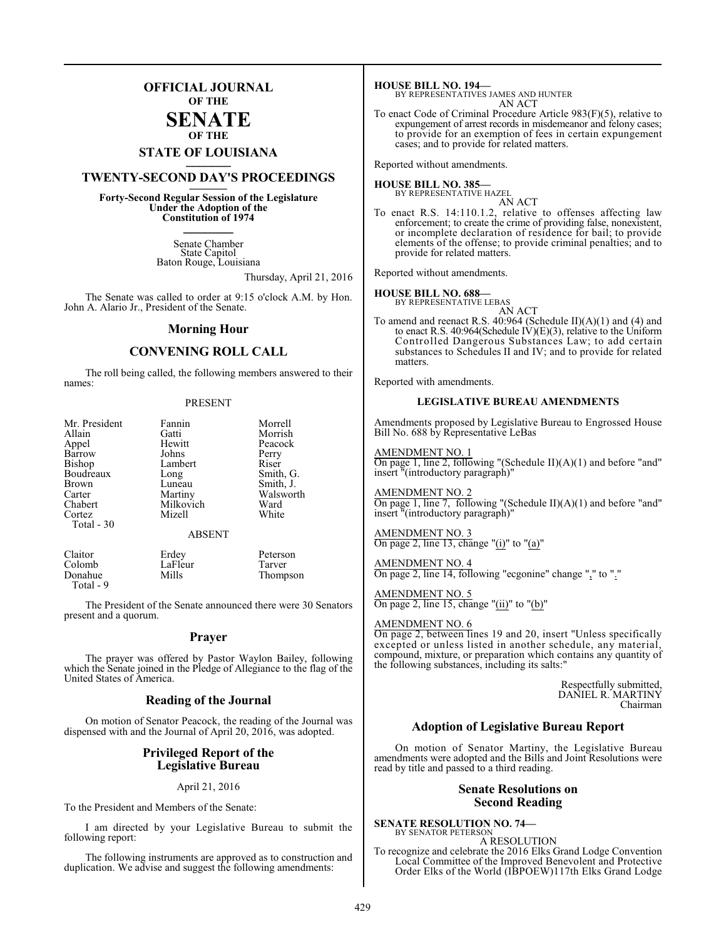### **OFFICIAL JOURNAL OF THE**

### **SENATE OF THE**

# **STATE OF LOUISIANA \_\_\_\_\_\_\_**

### **TWENTY-SECOND DAY'S PROCEEDINGS \_\_\_\_\_\_\_**

**Forty-Second Regular Session of the Legislature Under the Adoption of the Constitution of 1974 \_\_\_\_\_\_\_**

> Senate Chamber State Capitol Baton Rouge, Louisiana

> > Thursday, April 21, 2016

The Senate was called to order at 9:15 o'clock A.M. by Hon. John A. Alario Jr., President of the Senate.

### **Morning Hour**

### **CONVENING ROLL CALL**

The roll being called, the following members answered to their names:

### PRESENT

| Mr. President<br>Allain<br>Appel<br>Barrow<br>Bishop<br>Boudreaux<br><b>Brown</b><br>Carter<br>Chabert<br>Cortez<br>Total - 30 | Fannin<br>Gatti<br>Hewitt<br>Johns<br>Lambert<br>Long<br>Luneau<br>Martiny<br>Milkovich<br>Mizell | Morrell<br>Morrish<br>Peacock<br>Perry<br>Riser<br>Smith, G.<br>Smith, J.<br>Walsworth<br>Ward<br>White |
|--------------------------------------------------------------------------------------------------------------------------------|---------------------------------------------------------------------------------------------------|---------------------------------------------------------------------------------------------------------|
|                                                                                                                                | <b>ABSENT</b>                                                                                     |                                                                                                         |
| Claitor                                                                                                                        | Erdey                                                                                             | Peterson                                                                                                |

Colomb LaFleur Tarver<br>Donahue Mills Thomp Thompson Total - 9

The President of the Senate announced there were 30 Senators present and a quorum.

### **Prayer**

The prayer was offered by Pastor Waylon Bailey, following which the Senate joined in the Pledge of Allegiance to the flag of the United States of America.

### **Reading of the Journal**

On motion of Senator Peacock, the reading of the Journal was dispensed with and the Journal of April 20, 2016, was adopted.

### **Privileged Report of the Legislative Bureau**

April 21, 2016

To the President and Members of the Senate:

I am directed by your Legislative Bureau to submit the following report:

The following instruments are approved as to construction and duplication. We advise and suggest the following amendments:

### **HOUSE BILL NO. 194—**

BY REPRESENTATIVES JAMES AND HUNTER AN ACT

To enact Code of Criminal Procedure Article 983(F)(5), relative to expungement of arrest records in misdemeanor and felony cases; to provide for an exemption of fees in certain expungement cases; and to provide for related matters.

Reported without amendments.

#### **HOUSE BILL NO. 385—** BY REPRESENTATIVE HAZEL

AN ACT

To enact R.S. 14:110.1.2, relative to offenses affecting law enforcement; to create the crime of providing false, nonexistent, or incomplete declaration of residence for bail; to provide elements of the offense; to provide criminal penalties; and to provide for related matters.

Reported without amendments.

### **HOUSE BILL NO. 688—**

BY REPRESENTATIVE LEBAS

AN ACT To amend and reenact R.S. 40:964 (Schedule II)(A)(1) and (4) and to enact R.S. 40:964(Schedule IV)(E)(3), relative to the Uniform Controlled Dangerous Substances Law; to add certain substances to Schedules II and IV; and to provide for related matters.

Reported with amendments.

### **LEGISLATIVE BUREAU AMENDMENTS**

Amendments proposed by Legislative Bureau to Engrossed House Bill No. 688 by Representative LeBas

### AMENDMENT NO. 1

On page 1, line 2, following "(Schedule II) $(A)(1)$  and before "and" insert "(introductory paragraph)"

AMENDMENT NO. 2 On page 1, line 7, following "(Schedule II)(A)(1) and before "and" insert "(introductory paragraph)"

AMENDMENT NO. 3 On page 2, line 13, change "(i)" to "(a)"

AMENDMENT NO. 4 On page 2, line 14, following "ecgonine" change "," to "."

AMENDMENT NO. 5 On page 2, line 15, change "(ii)" to "(b)"

### AMENDMENT NO. 6

On page 2, between lines 19 and 20, insert "Unless specifically excepted or unless listed in another schedule, any material, compound, mixture, or preparation which contains any quantity of the following substances, including its salts:"

> Respectfully submitted, DANIEL R. MARTINY Chairman

### **Adoption of Legislative Bureau Report**

On motion of Senator Martiny, the Legislative Bureau amendments were adopted and the Bills and Joint Resolutions were read by title and passed to a third reading.

### **Senate Resolutions on Second Reading**

**SENATE RESOLUTION NO. 74—** BY SENATOR PETERSON

A RESOLUTION To recognize and celebrate the 2016 Elks Grand Lodge Convention Local Committee of the Improved Benevolent and Protective Order Elks of the World (IBPOEW)117th Elks Grand Lodge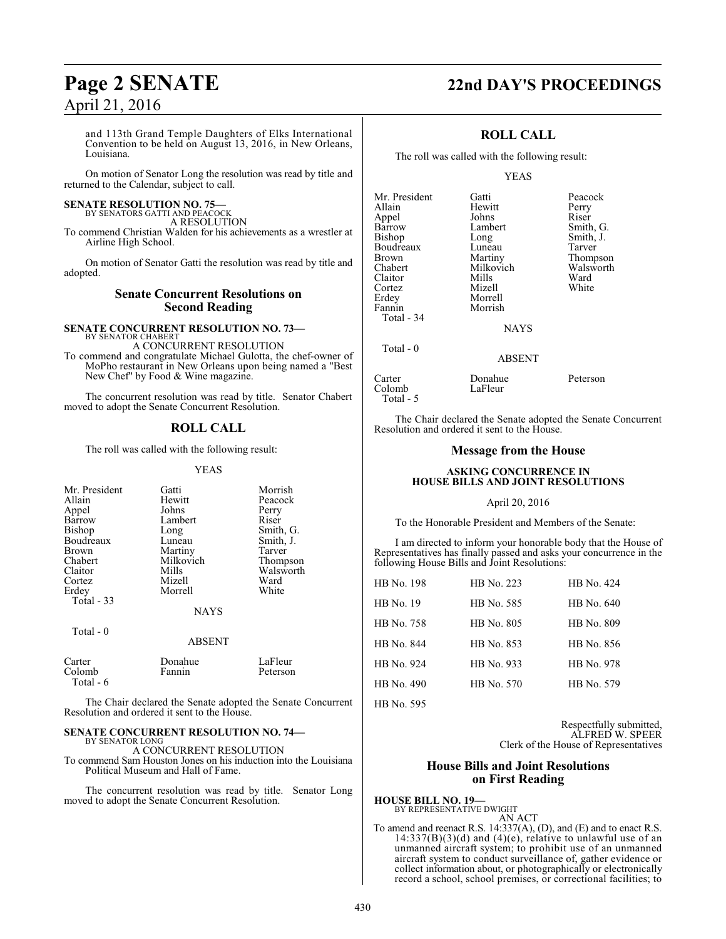### and 113th Grand Temple Daughters of Elks International Convention to be held on August 13, 2016, in New Orleans, Louisiana.

On motion of Senator Long the resolution was read by title and returned to the Calendar, subject to call.

### **SENATE RESOLUTION NO. 75—** BY SENATORS GATTI AND PEACOCK

A RESOLUTION

To commend Christian Walden for his achievements as a wrestler at Airline High School.

On motion of Senator Gatti the resolution was read by title and adopted.

### **Senate Concurrent Resolutions on Second Reading**

#### **SENATE CONCURRENT RESOLUTION NO. 73—** BY SENATOR CHABERT

A CONCURRENT RESOLUTION

To commend and congratulate Michael Gulotta, the chef-owner of MoPho restaurant in New Orleans upon being named a "Best New Chef" by Food & Wine magazine.

The concurrent resolution was read by title. Senator Chabert moved to adopt the Senate Concurrent Resolution.

### **ROLL CALL**

The roll was called with the following result:

YEAS

| Mr. President<br>Allain<br>Appel<br>Barrow<br>Bishop<br>Boudreaux<br><b>Brown</b><br>Chabert<br>Claitor<br>Cortez<br>Erdey<br>Total $-33$ | Gatti<br>Hewitt<br>Johns<br>Lambert<br>Long<br>Luneau<br>Martiny<br>Milkovich<br>Mills<br>Mizell<br>Morrell<br><b>NAYS</b> | Morrish<br>Peacock<br>Perry<br>Riser<br>Smith, G.<br>Smith, J.<br>Tarver<br>Thompson<br>Walsworth<br>Ward<br>White |
|-------------------------------------------------------------------------------------------------------------------------------------------|----------------------------------------------------------------------------------------------------------------------------|--------------------------------------------------------------------------------------------------------------------|
| Total - 0                                                                                                                                 | <b>ABSENT</b>                                                                                                              |                                                                                                                    |
| Carter<br>Colomb<br>Total - 6                                                                                                             | Donahue<br>Fannin                                                                                                          | LaFleur<br>Peterson                                                                                                |

The Chair declared the Senate adopted the Senate Concurrent Resolution and ordered it sent to the House.

#### **SENATE CONCURRENT RESOLUTION NO. 74—** BY SENATOR LONG

A CONCURRENT RESOLUTION

To commend Sam Houston Jones on his induction into the Louisiana Political Museum and Hall of Fame.

The concurrent resolution was read by title. Senator Long moved to adopt the Senate Concurrent Resolution.

## **Page 2 SENATE 22nd DAY'S PROCEEDINGS**

### **ROLL CALL**

The roll was called with the following result:

### YEAS

| Mr. President     | Gatti       | Peacock   |
|-------------------|-------------|-----------|
| Allain            | Hewitt      | Perry     |
| Appel             | Johns       | Riser     |
| Barrow            | Lambert     | Smith, G. |
| Bishop            | Long        | Smith, J. |
| Boudreaux         | Luneau      | Tarver    |
| <b>Brown</b>      | Martiny     | Thompson  |
| Chabert           | Milkovich   | Walsworth |
| Claitor           | Mills       | Ward      |
| Cortez            | Mizell      | White     |
| Erdey             | Morrell     |           |
| Fannin            | Morrish     |           |
| <b>Total - 34</b> |             |           |
|                   | <b>NAYS</b> |           |
| Total - 0         |             |           |
|                   |             |           |

### ABSENT

Carter Donahue Peterson Total - 5

The Chair declared the Senate adopted the Senate Concurrent Resolution and ordered it sent to the House.

LaFleur

### **Message from the House**

### **ASKING CONCURRENCE IN HOUSE BILLS AND JOINT RESOLUTIONS**

### April 20, 2016

To the Honorable President and Members of the Senate:

I am directed to inform your honorable body that the House of Representatives has finally passed and asks your concurrence in the following House Bills and Joint Resolutions:

| <b>HB</b> No. 198 | HB No. 223 | HB No. 424 |
|-------------------|------------|------------|
| <b>HB</b> No. 19  | HB No. 585 | HB No. 640 |
| HB No. 758        | HB No. 805 | HB No. 809 |
| HB No. 844        | HB No. 853 | HB No. 856 |
| HB No. 924        | HB No. 933 | HB No. 978 |
| HB No. 490        | HB No. 570 | HB No. 579 |
| HB No. 595        |            |            |

Respectfully submitted, ALFRED W. SPEER Clerk of the House of Representatives

### **House Bills and Joint Resolutions on First Reading**

**HOUSE BILL NO. 19—** BY REPRESENTATIVE DWIGHT

AN ACT To amend and reenact R.S. 14:337(A), (D), and (E) and to enact R.S.  $14:337(B)(3)(d)$  and  $(4)(e)$ , relative to unlawful use of an unmanned aircraft system; to prohibit use of an unmanned aircraft system to conduct surveillance of, gather evidence or collect information about, or photographically or electronically record a school, school premises, or correctional facilities; to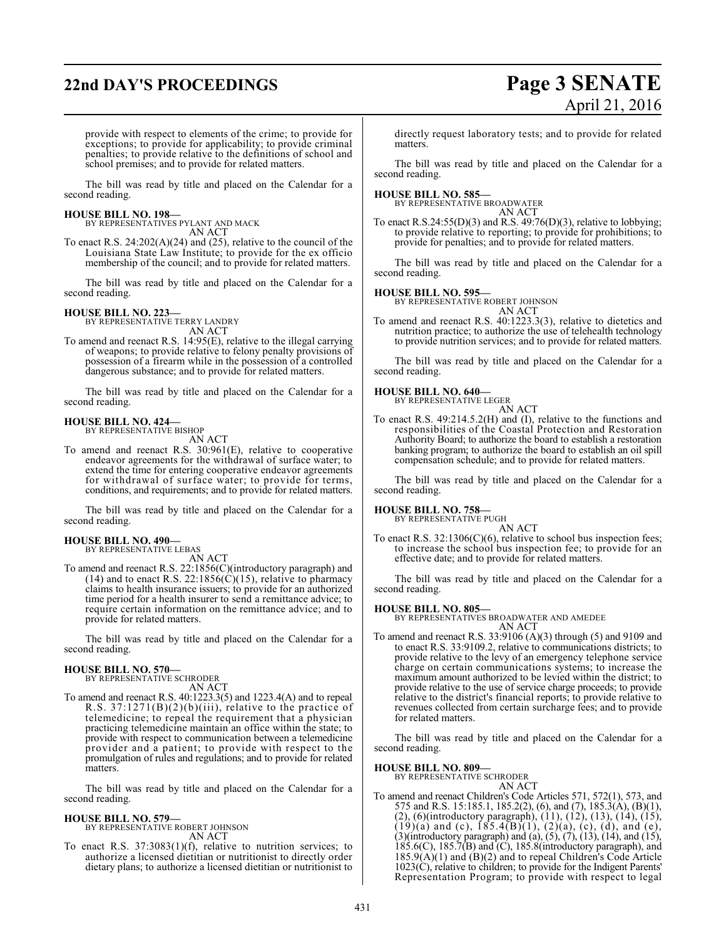# **22nd DAY'S PROCEEDINGS Page 3 SENATE**

# April 21, 2016

provide with respect to elements of the crime; to provide for exceptions; to provide for applicability; to provide criminal penalties; to provide relative to the definitions of school and school premises; and to provide for related matters.

The bill was read by title and placed on the Calendar for a second reading.

**HOUSE BILL NO. 198—** BY REPRESENTATIVES PYLANT AND MACK AN ACT

To enact R.S. 24:202(A)(24) and (25), relative to the council of the Louisiana State Law Institute; to provide for the ex officio membership of the council; and to provide for related matters.

The bill was read by title and placed on the Calendar for a second reading.

### **HOUSE BILL NO. 223—**

BY REPRESENTATIVE TERRY LANDRY AN ACT

To amend and reenact R.S. 14:95(E), relative to the illegal carrying of weapons; to provide relative to felony penalty provisions of possession of a firearm while in the possession of a controlled dangerous substance; and to provide for related matters.

The bill was read by title and placed on the Calendar for a second reading.

### **HOUSE BILL NO. 424—** BY REPRESENTATIVE BISHOP

AN ACT

To amend and reenact R.S. 30:961(E), relative to cooperative endeavor agreements for the withdrawal of surface water; to extend the time for entering cooperative endeavor agreements for withdrawal of surface water; to provide for terms, conditions, and requirements; and to provide for related matters.

The bill was read by title and placed on the Calendar for a second reading.

### **HOUSE BILL NO. 490—** BY REPRESENTATIVE LEBAS

AN ACT

To amend and reenact R.S. 22:1856(C)(introductory paragraph) and (14) and to enact R.S. 22:185 $\delta(\hat{C})$ (15), relative to pharmacy claims to health insurance issuers; to provide for an authorized time period for a health insurer to send a remittance advice; to require certain information on the remittance advice; and to provide for related matters.

The bill was read by title and placed on the Calendar for a second reading.

# **HOUSE BILL NO. 570—** BY REPRESENTATIVE SCHRODER

AN ACT

To amend and reenact R.S. 40:1223.3(5) and 1223.4(A) and to repeal R.S. 37:1271(B)(2)(b)(iii), relative to the practice of telemedicine; to repeal the requirement that a physician practicing telemedicine maintain an office within the state; to provide with respect to communication between a telemedicine provider and a patient; to provide with respect to the promulgation of rules and regulations; and to provide for related matters.

The bill was read by title and placed on the Calendar for a second reading.

### **HOUSE BILL NO. 579—** BY REPRESENTATIVE ROBERT JOHNSON AN ACT

To enact R.S. 37:3083(1)(f), relative to nutrition services; to authorize a licensed dietitian or nutritionist to directly order dietary plans; to authorize a licensed dietitian or nutritionist to directly request laboratory tests; and to provide for related matters.

The bill was read by title and placed on the Calendar for a second reading.

**HOUSE BILL NO. 585—** BY REPRESENTATIVE BROADWATER AN ACT

To enact R.S.24:55(D)(3) and R.S. 49:76(D)(3), relative to lobbying; to provide relative to reporting; to provide for prohibitions; to provide for penalties; and to provide for related matters.

The bill was read by title and placed on the Calendar for a second reading.

### **HOUSE BILL NO. 595—**

BY REPRESENTATIVE ROBERT JOHNSON AN ACT

To amend and reenact R.S. 40:1223.3(3), relative to dietetics and nutrition practice; to authorize the use of telehealth technology to provide nutrition services; and to provide for related matters.

The bill was read by title and placed on the Calendar for a second reading.

### **HOUSE BILL NO. 640—**

BY REPRESENTATIVE LEGER AN ACT

To enact R.S. 49:214.5.2(H) and (I), relative to the functions and responsibilities of the Coastal Protection and Restoration Authority Board; to authorize the board to establish a restoration banking program; to authorize the board to establish an oil spill compensation schedule; and to provide for related matters.

The bill was read by title and placed on the Calendar for a second reading.

### **HOUSE BILL NO. 758—**

BY REPRESENTATIVE PUGH

AN ACT To enact R.S. 32:1306(C)(6), relative to school bus inspection fees; to increase the school bus inspection fee; to provide for an effective date; and to provide for related matters.

The bill was read by title and placed on the Calendar for a second reading.

### **HOUSE BILL NO. 805—**

BY REPRESENTATIVES BROADWATER AND AMEDEE AN ACT

To amend and reenact R.S. 33:9106 (A)(3) through (5) and 9109 and to enact R.S. 33:9109.2, relative to communications districts; to provide relative to the levy of an emergency telephone service charge on certain communications systems; to increase the maximum amount authorized to be levied within the district; to provide relative to the use of service charge proceeds; to provide relative to the district's financial reports; to provide relative to revenues collected from certain surcharge fees; and to provide for related matters.

The bill was read by title and placed on the Calendar for a second reading.

**HOUSE BILL NO. 809—** BY REPRESENTATIVE SCHRODER

- AN ACT
- To amend and reenact Children's Code Articles 571, 572(1), 573, and 575 and R.S. 15:185.1, 185.2(2), (6), and (7), 185.3(A), (B)(1), (2), (6)(introductory paragraph), (11), (12), (13), (14), (15),  $(19)(a)$  and (c),  $185.4(B)(1)$ ,  $(2)(a)$ , (c), (d), and (e),  $(3)$ (introductory paragraph) and  $(a)$ ,  $(5)$ ,  $(7)$ ,  $(13)$ ,  $(14)$ , and  $(15)$ , 185.6(C), 185.7(B) and (C), 185.8(introductory paragraph), and  $185.9(A)(1)$  and  $(B)(2)$  and to repeal Children's Code Article  $1023(\tilde{C})$ , relative to children; to provide for the Indigent Parents' Representation Program; to provide with respect to legal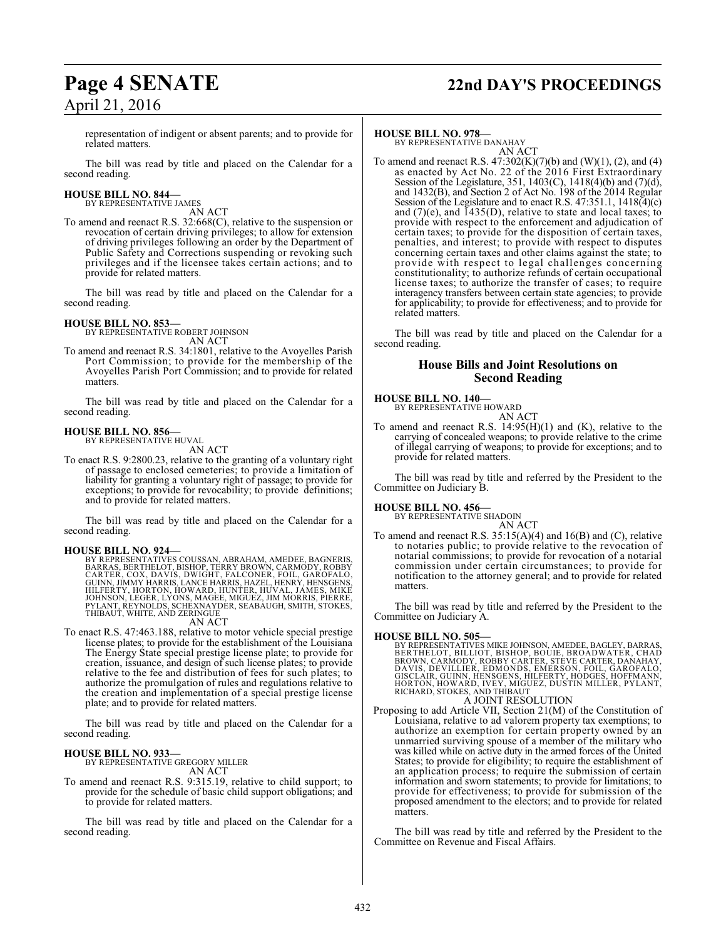## **Page 4 SENATE 22nd DAY'S PROCEEDINGS**

representation of indigent or absent parents; and to provide for related matters.

The bill was read by title and placed on the Calendar for a second reading.

### **HOUSE BILL NO. 844—** BY REPRESENTATIVE JAMES

AN ACT

To amend and reenact R.S. 32:668(C), relative to the suspension or revocation of certain driving privileges; to allow for extension of driving privileges following an order by the Department of Public Safety and Corrections suspending or revoking such privileges and if the licensee takes certain actions; and to provide for related matters.

The bill was read by title and placed on the Calendar for a second reading.

### **HOUSE BILL NO. 853—**

BY REPRESENTATIVE ROBERT JOHNSON AN ACT

To amend and reenact R.S. 34:1801, relative to the Avoyelles Parish Port Commission; to provide for the membership of the Avoyelles Parish Port Commission; and to provide for related matters.

The bill was read by title and placed on the Calendar for a second reading.

### **HOUSE BILL NO. 856—** BY REPRESENTATIVE HUVAL

AN ACT

To enact R.S. 9:2800.23, relative to the granting of a voluntary right of passage to enclosed cemeteries; to provide a limitation of liability for granting a voluntary right of passage; to provide for exceptions; to provide for revocability; to provide definitions; and to provide for related matters.

The bill was read by title and placed on the Calendar for a second reading.

### **HOUSE BILL NO. 924—**

BY REPRESENTATIVES COUSSAN, ABRAHAM, AMEDEE, BAGNERIS,<br>BARRAS, BERTHELOT, BISHOP, TERRY BROWN, CARMÓDY, ROBBY<br>CARTER, COX, DAVIS, DWIGHT, FALCONER, FOIL, GAROFALO,<br>GUINN, JIMMY HARRIS, LANCE HARRIS, HAZEL, HENRY, HENSGENS, THIBAUT, WHITE, AND ZERINGUE

### AN ACT

To enact R.S. 47:463.188, relative to motor vehicle special prestige license plates; to provide for the establishment of the Louisiana The Energy State special prestige license plate; to provide for creation, issuance, and design of such license plates; to provide relative to the fee and distribution of fees for such plates; to authorize the promulgation of rules and regulations relative to the creation and implementation of a special prestige license plate; and to provide for related matters.

The bill was read by title and placed on the Calendar for a second reading.

### **HOUSE BILL NO. 933—**

BY REPRESENTATIVE GREGORY MILLER

AN ACT To amend and reenact R.S. 9:315.19, relative to child support; to provide for the schedule of basic child support obligations; and to provide for related matters.

The bill was read by title and placed on the Calendar for a second reading.

### **HOUSE BILL NO. 978—**

BY REPRESENTATIVE DANAHAY AN ACT

To amend and reenact R.S. 47:302(K)(7)(b) and (W)(1), (2), and (4) as enacted by Act No. 22 of the 2016 First Extraordinary Session of the Legislature, 351, 1403(C), 1418(4)(b) and (7)(d), and 1432(B), and Section 2 of Act No. 198 of the 2014 Regular Session of the Legislature and to enact R.S. 47:351.1, 1418(4)(c) and  $(7)(e)$ , and  $\overline{1}435(D)$ , relative to state and local taxes; to provide with respect to the enforcement and adjudication of certain taxes; to provide for the disposition of certain taxes, penalties, and interest; to provide with respect to disputes concerning certain taxes and other claims against the state; to provide with respect to legal challenges concerning constitutionality; to authorize refunds of certain occupational license taxes; to authorize the transfer of cases; to require interagency transfers between certain state agencies; to provide for applicability; to provide for effectiveness; and to provide for related matters.

The bill was read by title and placed on the Calendar for a second reading.

### **House Bills and Joint Resolutions on Second Reading**

### **HOUSE BILL NO. 140—**

BY REPRESENTATIVE HOWARD AN ACT

To amend and reenact R.S. 14:95(H)(1) and (K), relative to the carrying of concealed weapons; to provide relative to the crime of illegal carrying of weapons; to provide for exceptions; and to provide for related matters.

The bill was read by title and referred by the President to the Committee on Judiciary B.

**HOUSE BILL NO. 456—** BY REPRESENTATIVE SHADOIN

AN ACT To amend and reenact R.S. 35:15(A)(4) and 16(B) and (C), relative to notaries public; to provide relative to the revocation of notarial commissions; to provide for revocation of a notarial commission under certain circumstances; to provide for notification to the attorney general; and to provide for related matters.

The bill was read by title and referred by the President to the Committee on Judiciary A.

### **HOUSE BILL NO. 505—**

BY REPRESENTATIVES MIKE JOHNSON, AMEDEE, BAGLEY, BARRAS, BERTHELOT, BILLIOT, BISHOP, BOUIE, BROADWATER, CHAD<br>BROWN, CARMODY, ROBBY CARTER, STÈVE CARTER, DANAHAY,<br>DAVIS, DEVILLIER, EDMONDS, EMERSON, FOIL, GAROFALO,<br>GISCLAIR, GUINN, HENSGENS, HILFERTY, HODGES, HOFFMANN,<br>HICHARD, S

### A JOINT RESOLUTION

Proposing to add Article VII, Section 21(M) of the Constitution of Louisiana, relative to ad valorem property tax exemptions; to authorize an exemption for certain property owned by an unmarried surviving spouse of a member of the military who was killed while on active duty in the armed forces of the United States; to provide for eligibility; to require the establishment of an application process; to require the submission of certain information and sworn statements; to provide for limitations; to provide for effectiveness; to provide for submission of the proposed amendment to the electors; and to provide for related matters.

The bill was read by title and referred by the President to the Committee on Revenue and Fiscal Affairs.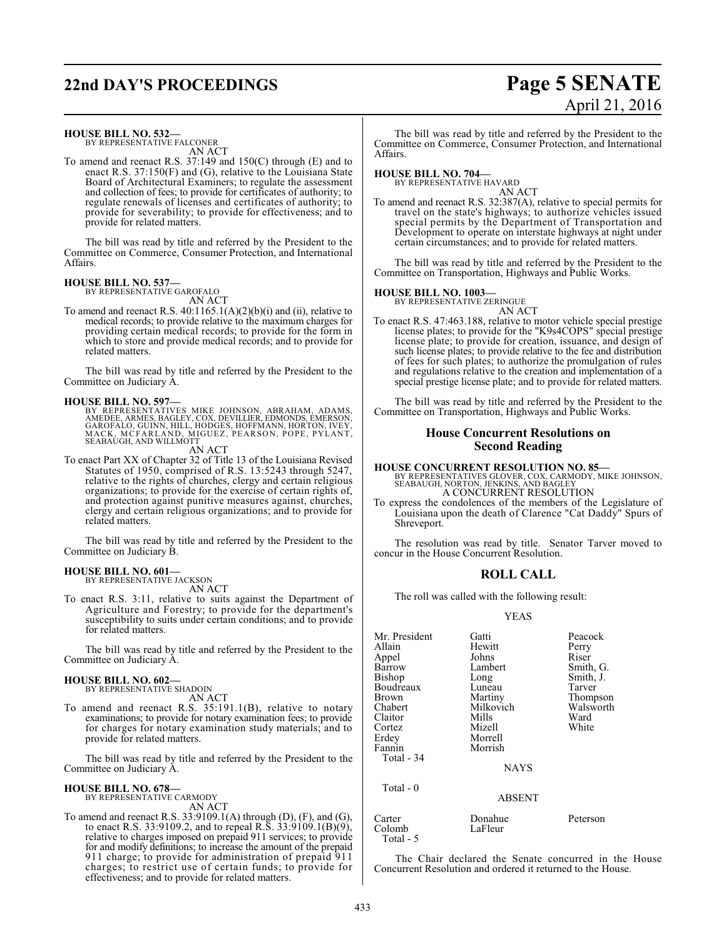# **22nd DAY'S PROCEEDINGS Page 5 SENATE**

### **HOUSE BILL NO. 532—**

BY REPRESENTATIVE FALCONER AN ACT

To amend and reenact R.S. 37:149 and 150(C) through (E) and to enact R.S. 37:150(F) and (G), relative to the Louisiana State Board of Architectural Examiners; to regulate the assessment and collection of fees; to provide for certificates of authority; to regulate renewals of licenses and certificates of authority; to provide for severability; to provide for effectiveness; and to provide for related matters.

The bill was read by title and referred by the President to the Committee on Commerce, Consumer Protection, and International Affairs.

### **HOUSE BILL NO. 537—** BY REPRESENTATIVE GAROFALO

AN ACT

To amend and reenact R.S.  $40:1165.1(A)(2)(b)(i)$  and (ii), relative to medical records; to provide relative to the maximum charges for providing certain medical records; to provide for the form in which to store and provide medical records; and to provide for related matters.

The bill was read by title and referred by the President to the Committee on Judiciary A.

**HOUSE BILL NO. 597—**<br>BY REPRESENTATIVES MIKE JOHNSON, ABRAHAM, ADAMS, AMEDEE, ARMES, BAGLEY, COX, DEVILLIER, EDMONDS, EMERSON,<br>GAROFALO, GUINN, HILL, HODGES, HOFFMANN, HORTON, IVEY,<br>MACK, MCFARLAND, MIGUEZ, PEARSON, POPE,

AN ACT

To enact Part XX of Chapter 32 of Title 13 of the Louisiana Revised Statutes of 1950, comprised of R.S. 13:5243 through 5247, relative to the rights of churches, clergy and certain religious organizations; to provide for the exercise of certain rights of, and protection against punitive measures against, churches, clergy and certain religious organizations; and to provide for related matters.

The bill was read by title and referred by the President to the Committee on Judiciary B.

### **HOUSE BILL NO. 601—**

BY REPRESENTATIVE JACKSON

AN ACT To enact R.S. 3:11, relative to suits against the Department of Agriculture and Forestry; to provide for the department's susceptibility to suits under certain conditions; and to provide for related matters.

The bill was read by title and referred by the President to the Committee on Judiciary A.

#### **HOUSE BILL NO. 602—** BY REPRESENTATIVE SHADOIN

AN ACT

To amend and reenact R.S. 35:191.1(B), relative to notary examinations; to provide for notary examination fees; to provide for charges for notary examination study materials; and to provide for related matters.

The bill was read by title and referred by the President to the Committee on Judiciary A.

### **HOUSE BILL NO. 678—**

BY REPRESENTATIVE CARMODY AN ACT

To amend and reenact R.S. 33:9109.1(A) through (D), (F), and (G), to enact R.S. 33:9109.2, and to repeal R.S. 33:9109.1(B)(9), relative to charges imposed on prepaid 911 services; to provide for and modify definitions; to increase the amount of the prepaid 911 charge; to provide for administration of prepaid 911 charges; to restrict use of certain funds; to provide for effectiveness; and to provide for related matters.

April 21, 2016

The bill was read by title and referred by the President to the Committee on Commerce, Consumer Protection, and International Affairs.

**HOUSE BILL NO. 704—** BY REPRESENTATIVE HAVARD AN ACT

To amend and reenact R.S. 32:387(A), relative to special permits for travel on the state's highways; to authorize vehicles issued special permits by the Department of Transportation and Development to operate on interstate highways at night under certain circumstances; and to provide for related matters.

The bill was read by title and referred by the President to the Committee on Transportation, Highways and Public Works.

### **HOUSE BILL NO. 1003—**

BY REPRESENTATIVE ZERINGUE AN ACT

To enact R.S. 47:463.188, relative to motor vehicle special prestige license plates; to provide for the "K9s4COPS" special prestige license plate; to provide for creation, issuance, and design of such license plates; to provide relative to the fee and distribution of fees for such plates; to authorize the promulgation of rules and regulations relative to the creation and implementation of a special prestige license plate; and to provide for related matters.

The bill was read by title and referred by the President to the Committee on Transportation, Highways and Public Works.

### **House Concurrent Resolutions on Second Reading**

**HOUSE CONCURRENT RESOLUTION NO. 85—**<br>BY REPRESENTATIVES GLOVER, COX, CARMODY, MIKE JOHNSON,<br>SEABAUGH, NORTON, JENKINS, AND BAGLEY<br>A CONCURRENT RESOLUTION

To express the condolences of the members of the Legislature of Louisiana upon the death of Clarence "Cat Daddy" Spurs of Shreveport.

The resolution was read by title. Senator Tarver moved to concur in the House Concurrent Resolution.

### **ROLL CALL**

The roll was called with the following result:

### YEAS

| Mr. President<br>Allain<br>Appel<br>Barrow<br>Bishop<br>Boudreaux<br>Brown<br>Chabert<br>Claitor<br>Cortez<br>Erdey<br>Fannin | Gatti<br>Hewitt<br>Johns<br>Lambert<br>Long<br>Luneau<br>Martiny<br>Milkovich<br>Mills<br>Mizell<br>Morrell<br>Morrish | Peacock<br>Perry<br>Riser<br>Smith, G.<br>Smith, J.<br>Tarver<br>Thompson<br>Walsworth<br>Ward<br>White |
|-------------------------------------------------------------------------------------------------------------------------------|------------------------------------------------------------------------------------------------------------------------|---------------------------------------------------------------------------------------------------------|
| Total - 34                                                                                                                    | <b>NAYS</b>                                                                                                            |                                                                                                         |
| Total $-0$                                                                                                                    | <b>ABSENT</b>                                                                                                          |                                                                                                         |
| Carter                                                                                                                        | Donahue                                                                                                                | Peterson                                                                                                |

Colomb LaFleur Total - 5

The Chair declared the Senate concurred in the House Concurrent Resolution and ordered it returned to the House.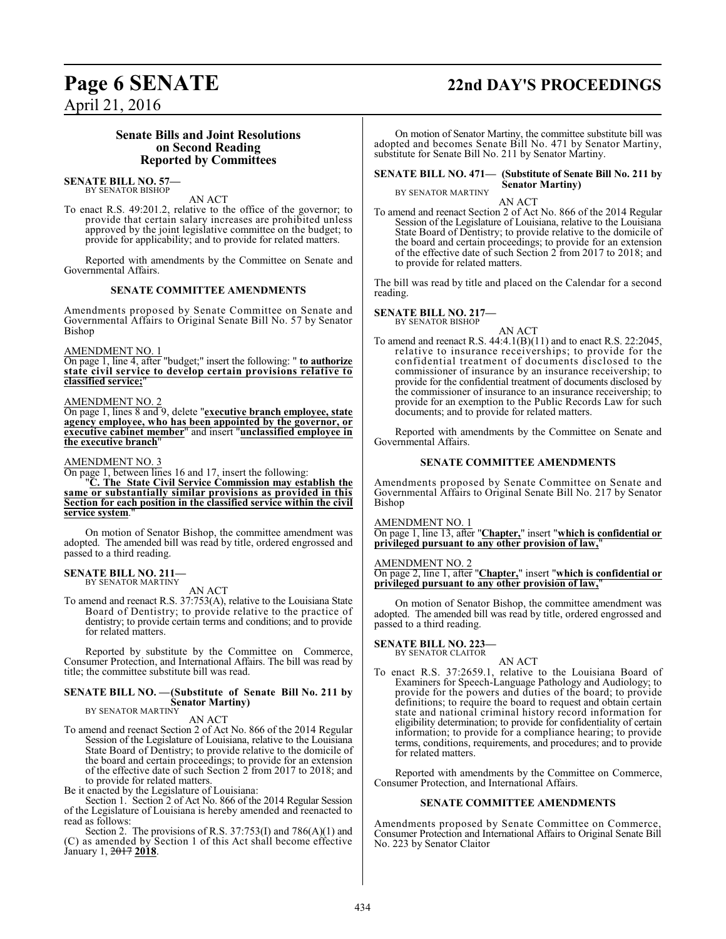## **Page 6 SENATE 22nd DAY'S PROCEEDINGS**

April 21, 2016

### **Senate Bills and Joint Resolutions on Second Reading Reported by Committees**

#### **SENATE BILL NO. 57—** BY SENATOR BISHOP

AN ACT

To enact R.S. 49:201.2, relative to the office of the governor; to provide that certain salary increases are prohibited unless approved by the joint legislative committee on the budget; to provide for applicability; and to provide for related matters.

Reported with amendments by the Committee on Senate and Governmental Affairs.

### **SENATE COMMITTEE AMENDMENTS**

Amendments proposed by Senate Committee on Senate and Governmental Affairs to Original Senate Bill No. 57 by Senator Bishop

AMENDMENT NO. 1

On page 1, line 4, after "budget;" insert the following: " **to authorize state civil service to develop certain provisions relative to classified service;**"

### AMENDMENT NO. 2

On page 1, lines 8 and 9, delete "**executive branch employee, state agency employee, who has been appointed by the governor, or executive cabinet member**" and insert "**unclassified employee in the executive branch**"

### AMENDMENT NO. 3

On page 1, between lines 16 and 17, insert the following:

"**C. The State Civil Service Commission may establish the same or substantially similar provisions as provided in this Section for each position in the classified service within the civil service system**."

On motion of Senator Bishop, the committee amendment was adopted. The amended bill was read by title, ordered engrossed and passed to a third reading.

#### **SENATE BILL NO. 211—** BY SENATOR MARTINY

AN ACT

To amend and reenact R.S. 37:753(A), relative to the Louisiana State Board of Dentistry; to provide relative to the practice of dentistry; to provide certain terms and conditions; and to provide for related matters.

Reported by substitute by the Committee on Commerce, Consumer Protection, and International Affairs. The bill was read by title; the committee substitute bill was read.

### **SENATE BILL NO. —(Substitute of Senate Bill No. 211 by Senator Martiny)**

BY SENATOR MARTINY AN ACT

To amend and reenact Section 2 of Act No. 866 of the 2014 Regular Session of the Legislature of Louisiana, relative to the Louisiana State Board of Dentistry; to provide relative to the domicile of the board and certain proceedings; to provide for an extension of the effective date of such Section 2 from 2017 to 2018; and to provide for related matters.

Be it enacted by the Legislature of Louisiana:

Section 1. Section 2 of Act No. 866 of the 2014 Regular Session of the Legislature of Louisiana is hereby amended and reenacted to read as follows:

Section 2. The provisions of R.S. 37:753(I) and 786(A)(1) and (C) as amended by Section 1 of this Act shall become effective January 1, 2017 **2018**.

On motion of Senator Martiny, the committee substitute bill was adopted and becomes Senate Bill No. 471 by Senator Martiny, substitute for Senate Bill No. 211 by Senator Martiny.

#### **SENATE BILL NO. 471— (Substitute of Senate Bill No. 211 by Senator Martiny)** BY SENATOR MARTINY

AN ACT

To amend and reenact Section 2 of Act No. 866 of the 2014 Regular Session of the Legislature of Louisiana, relative to the Louisiana State Board of Dentistry; to provide relative to the domicile of the board and certain proceedings; to provide for an extension of the effective date of such Section 2 from 2017 to 2018; and to provide for related matters.

The bill was read by title and placed on the Calendar for a second reading.

**SENATE BILL NO. 217—** BY SENATOR BISHOP

AN ACT

To amend and reenact R.S. 44:4.1(B)(11) and to enact R.S. 22:2045, relative to insurance receiverships; to provide for the confidential treatment of documents disclosed to the commissioner of insurance by an insurance receivership; to provide for the confidential treatment of documents disclosed by the commissioner of insurance to an insurance receivership; to provide for an exemption to the Public Records Law for such documents; and to provide for related matters.

Reported with amendments by the Committee on Senate and Governmental Affairs.

### **SENATE COMMITTEE AMENDMENTS**

Amendments proposed by Senate Committee on Senate and Governmental Affairs to Original Senate Bill No. 217 by Senator Bishop

AMENDMENT NO. 1

On page 1, line 13, after "**Chapter,**" insert "**which is confidential or privileged pursuant to any other provision of law,**"

AMENDMENT NO. 2

On page 2, line 1, after "**Chapter,**" insert "**which is confidential or privileged pursuant to any other provision of law,**"

On motion of Senator Bishop, the committee amendment was adopted. The amended bill was read by title, ordered engrossed and passed to a third reading.

**SENATE BILL NO. 223—** BY SENATOR CLAITOR

### AN ACT

To enact R.S. 37:2659.1, relative to the Louisiana Board of Examiners for Speech-Language Pathology and Audiology; to provide for the powers and duties of the board; to provide definitions; to require the board to request and obtain certain state and national criminal history record information for eligibility determination; to provide for confidentiality of certain information; to provide for a compliance hearing; to provide terms, conditions, requirements, and procedures; and to provide for related matters.

Reported with amendments by the Committee on Commerce, Consumer Protection, and International Affairs.

### **SENATE COMMITTEE AMENDMENTS**

Amendments proposed by Senate Committee on Commerce, Consumer Protection and International Affairs to Original Senate Bill No. 223 by Senator Claitor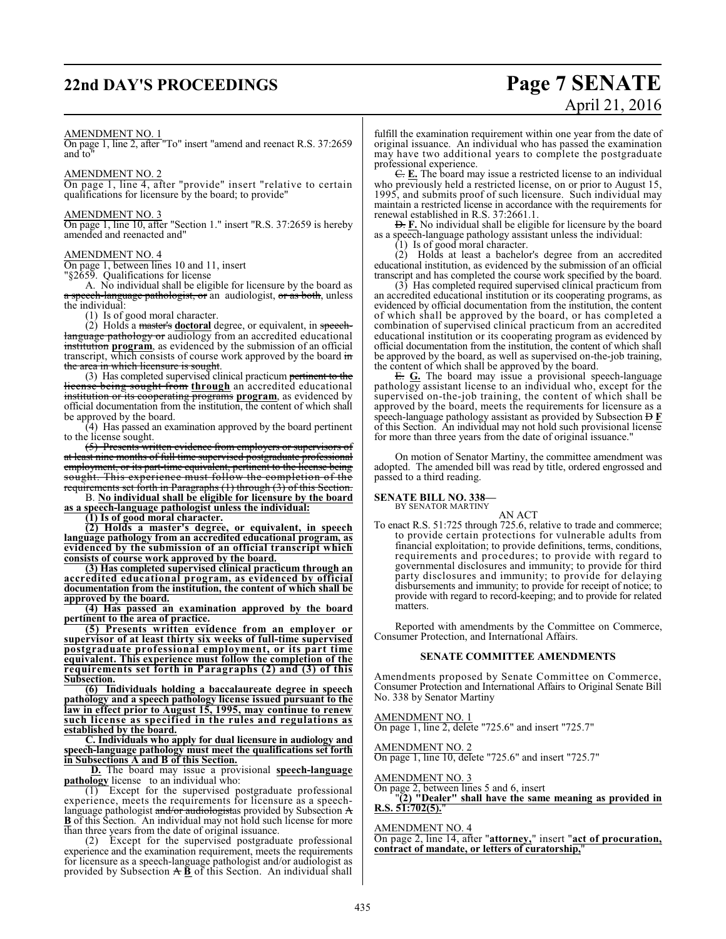## **22nd DAY'S PROCEEDINGS Page 7 SENATE**

# April 21, 2016

### AMENDMENT NO. 1

On page 1, line 2, after "To" insert "amend and reenact R.S. 37:2659 and to"

### AMENDMENT NO. 2

On page 1, line 4, after "provide" insert "relative to certain qualifications for licensure by the board; to provide"

### AMENDMENT NO. 3

On page 1, line 10, after "Section 1." insert "R.S. 37:2659 is hereby amended and reenacted and"

### AMENDMENT NO. 4

On page 1, between lines 10 and 11, insert "§2659. Qualifications for license

A. No individual shall be eligible for licensure by the board as a speech-language pathologist, or an audiologist, or as both, unless the individual:

(1) Is of good moral character.

(2) Holds a master's **doctoral** degree, or equivalent, in speechlanguage pathology or audiology from an accredited educational institution **program**, as evidenced by the submission of an official transcript, which consists of course work approved by the board in the area in which licensure is sought.

(3) Has completed supervised clinical practicum pertinent to the license being sought from **through** an accredited educational institution or its cooperating **programs** program, as evidenced by official documentation from the institution, the content of which shall be approved by the board.

(4) Has passed an examination approved by the board pertinent to the license sought.

(5) Presents written evidence from employers or supervisors of at least nine months of full time supervised postgraduate professional employment, or its part-time equivalent, pertinent to the license being sought. This experience must follow the completion of the requirements set forth in Paragraphs  $(1)$  through  $(3)$  of this Section.

B. **No individual shall be eligible for licensure by the board as a speech-language pathologist unless the individual:**

**(1) Is of good moral character.**

**(2) Holds a master's degree, or equivalent, in speech language pathology from an accredited educational program, as evidenced by the submission of an official transcript which consists of course work approved by the board.** 

**(3) Has completed supervised clinical practicum through an accredited educational program, as evidenced by official documentation from the institution, the content of which shall be approved by the board.**

**(4) Has passed an examination approved by the board pertinent to the area of practice.**

**(5) Presents written evidence from an employer or supervisor of at least thirty six weeks of full-time supervised postgraduate professional employment, or its part time equivalent. This experience must follow the completion of the requirements set forth in Paragraphs (2) and (3) of this Subsection.**

**(6) Individuals holding a baccalaureate degree in speech pathology and a speech pathology license issued pursuant to the law in effect prior to August 15, 1995, may continue to renew such license as specified in the rules and regulations as established by the board.**

**C. Individuals who apply for dual licensure in audiology and speech-language pathology must meet the qualifications set forth in Subsections A and B of this Section.**

**D.** The board may issue a provisional **speech-language pathology** license to an individual who:

(1) Except for the supervised postgraduate professional experience, meets the requirements for licensure as a speechlanguage pathologist and/or audiologistas provided by Subsection A **B** of this Section. An individual may not hold such license for more than three years from the date of original issuance.

(2) Except for the supervised postgraduate professional experience and the examination requirement, meets the requirements for licensure as a speech-language pathologist and/or audiologist as provided by Subsection  $\overrightarrow{AB}$  of this Section. An individual shall

fulfill the examination requirement within one year from the date of original issuance. An individual who has passed the examination may have two additional years to complete the postgraduate professional experience.

C. **E.** The board may issue a restricted license to an individual who previously held a restricted license, on or prior to August 15, 1995, and submits proof of such licensure. Such individual may maintain a restricted license in accordance with the requirements for renewal established in R.S. 37:2661.1.

D. **F.** No individual shall be eligible for licensure by the board as a speech-language pathology assistant unless the individual:

(1) Is of good moral character. (2) Holds at least a bachelor's degree from an accredited

educational institution, as evidenced by the submission of an official transcript and has completed the course work specified by the board.

(3) Has completed required supervised clinical practicum from an accredited educational institution or its cooperating programs, as evidenced by official documentation from the institution, the content of which shall be approved by the board, or has completed a combination of supervised clinical practicum from an accredited educational institution or its cooperating program as evidenced by official documentation from the institution, the content of which shall be approved by the board, as well as supervised on-the-job training, the content of which shall be approved by the board.

E. **G.** The board may issue a provisional speech-language pathology assistant license to an individual who, except for the supervised on-the-job training, the content of which shall be approved by the board, meets the requirements for licensure as a speech-language pathology assistant as provided by Subsection  $\overline{D}$  **F** of this Section. An individual may not hold such provisional license for more than three years from the date of original issuance."

On motion of Senator Martiny, the committee amendment was adopted. The amended bill was read by title, ordered engrossed and passed to a third reading.

#### **SENATE BILL NO. 338—** BY SENATOR MARTINY

AN ACT

To enact R.S. 51:725 through 725.6, relative to trade and commerce; to provide certain protections for vulnerable adults from financial exploitation; to provide definitions, terms, conditions, requirements and procedures; to provide with regard to governmental disclosures and immunity; to provide for third party disclosures and immunity; to provide for delaying disbursements and immunity; to provide for receipt of notice; to provide with regard to record-keeping; and to provide for related matters.

Reported with amendments by the Committee on Commerce, Consumer Protection, and International Affairs.

### **SENATE COMMITTEE AMENDMENTS**

Amendments proposed by Senate Committee on Commerce, Consumer Protection and International Affairs to Original Senate Bill No. 338 by Senator Martiny

AMENDMENT NO. 1 On page 1, line 2, delete "725.6" and insert "725.7"

AMENDMENT NO. 2 On page 1, line 10, delete "725.6" and insert "725.7"

AMENDMENT NO. 3 On page 2, between lines 5 and 6, insert "**(2) "Dealer" shall have the same meaning as provided in R.S. 51:702(5).** 

### AMENDMENT NO. 4

On page 2, line 14, after "**attorney,**" insert "**act of procuration, contract of mandate, or letters of curatorship,**"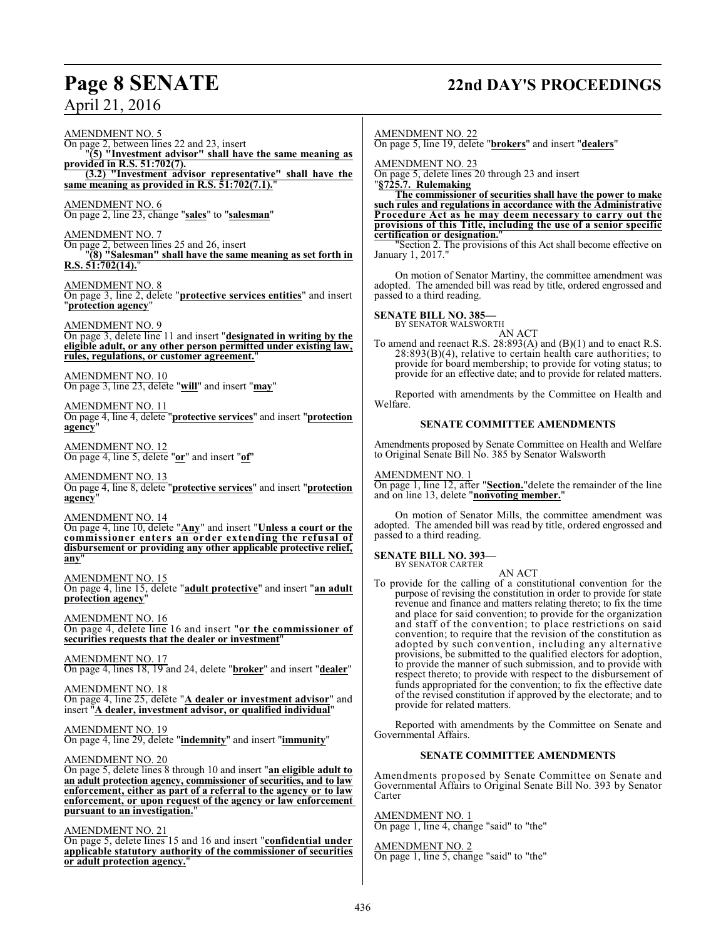## **Page 8 SENATE 22nd DAY'S PROCEEDINGS**

April 21, 2016

AMENDMENT NO. 5 On page 2, between lines 22 and 23, insert "**(5) "Investment advisor" shall have the same meaning as provided in R.S. 51:702(7). (3.2) "Investment advisor representative" shall have the same meaning as provided in R.S. 51:702(7.1).**" AMENDMENT NO. 6 On page 2, line 23, change "**sales**" to "**salesman**" AMENDMENT NO. 7 On page 2, between lines 25 and 26, insert "**(8) "Salesman" shall have the same meaning as set forth in R.S. 51:702(14).**" AMENDMENT NO. 8 On page 3, line 2, delete "**protective services entities**" and insert "**protection agency**" AMENDMENT NO. 9 On page 3, delete line 11 and insert "**designated in writing by the eligible adult, or any other person permitted under existing law, rules, regulations, or customer agreement.**" AMENDMENT NO. 10 On page 3, line 23, delete "**will**" and insert "**may**" AMENDMENT NO. 11 On page 4, line 4, delete "**protective services**" and insert "**protection agency**" AMENDMENT NO. 12 On page 4, line 5, delete "**or**" and insert "**of**" AMENDMENT NO. 13 On page 4, line 8, delete "**protective services**" and insert "**protection agency**" AMENDMENT NO. 14 On page 4, line 10, delete "**Any**" and insert "**Unless a court or the commissioner enters an order extending the refusal of disbursement or providing any other applicable protective relief, any**" AMENDMENT NO. 15 On page 4, line 15, delete "**adult protective**" and insert "**an adult protection agency**" AMENDMENT NO. 16 On page 4, delete line 16 and insert "**or the commissioner of securities requests that the dealer or investment**" AMENDMENT NO. 17 On page 4, lines 18, 19 and 24, delete "**broker**" and insert "**dealer**" AMENDMENT NO. 18 On page 4, line 25, delete "**A dealer or investment advisor**" and insert "**A dealer, investment advisor, or qualified individual**" AMENDMENT NO. 19 On page 4, line 29, delete "**indemnity**" and insert "**immunity**" AMENDMENT NO. 20 On page 5, delete lines 8 through 10 and insert "**an eligible adult to an adult protection agency, commissioner of securities, and to law enforcement, either as part of a referral to the agency or to law enforcement, or upon request of the agency or law enforcement pursuant to an investigation.**" AMENDMENT NO. 21 On page 5, delete lines 15 and 16 and insert "**confidential under**

**applicable statutory authority of the commissioner of securities or adult protection agency.**"

AMENDMENT NO. 22

On page 5, line 19, delete "**brokers**" and insert "**dealers**"

AMENDMENT NO. 23

On page 5, delete lines 20 through 23 and insert "**§725.7. Rulemaking**

**The commissioner of securities shall have the power to make such rules and regulations in accordance with the Administrative Procedure Act as he may deem necessary to carry out the provisions of this Title, including the use of a senior specific certification or designation.**"

"Section 2. The provisions of this Act shall become effective on January 1, 2017."

On motion of Senator Martiny, the committee amendment was adopted. The amended bill was read by title, ordered engrossed and passed to a third reading.

**SENATE BILL NO. 385—**

BY SENATOR WALSWORTH

AN ACT To amend and reenact R.S. 28:893(A) and (B)(1) and to enact R.S.  $28:893(B)(4)$ , relative to certain health care authorities; to provide for board membership; to provide for voting status; to provide for an effective date; and to provide for related matters.

Reported with amendments by the Committee on Health and Welfare.

### **SENATE COMMITTEE AMENDMENTS**

Amendments proposed by Senate Committee on Health and Welfare to Original Senate Bill No. 385 by Senator Walsworth

### AMENDMENT NO. 1

On page 1, line 12, after "**Section.**"delete the remainder of the line and on line 13, delete "**nonvoting member.**"

On motion of Senator Mills, the committee amendment was adopted. The amended bill was read by title, ordered engrossed and passed to a third reading.

#### **SENATE BILL NO. 393—** BY SENATOR CARTER

AN ACT

To provide for the calling of a constitutional convention for the purpose of revising the constitution in order to provide for state revenue and finance and matters relating thereto; to fix the time and place for said convention; to provide for the organization and staff of the convention; to place restrictions on said convention; to require that the revision of the constitution as adopted by such convention, including any alternative provisions, be submitted to the qualified electors for adoption, to provide the manner of such submission, and to provide with respect thereto; to provide with respect to the disbursement of funds appropriated for the convention; to fix the effective date of the revised constitution if approved by the electorate; and to provide for related matters.

Reported with amendments by the Committee on Senate and Governmental Affairs.

### **SENATE COMMITTEE AMENDMENTS**

Amendments proposed by Senate Committee on Senate and Governmental Affairs to Original Senate Bill No. 393 by Senator Carter

### AMENDMENT NO. 1

On page 1, line 4, change "said" to "the"

AMENDMENT NO. 2 On page 1, line 5, change "said" to "the"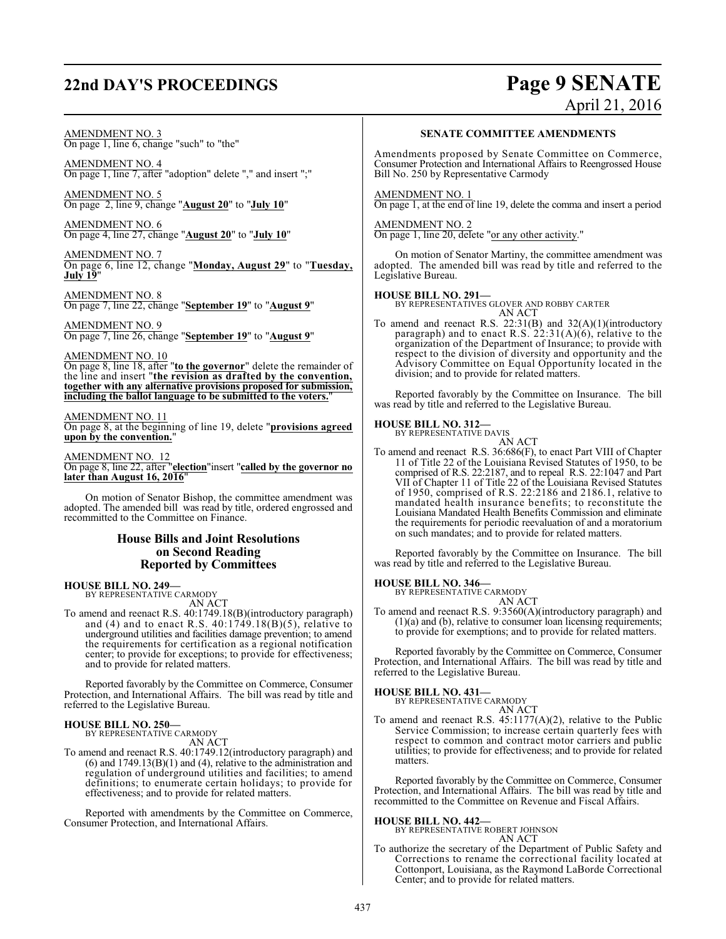# **22nd DAY'S PROCEEDINGS Page 9 SENATE**

# April 21, 2016

### AMENDMENT NO. 3

On page 1, line 6, change "such" to "the"

AMENDMENT NO. 4 On page 1, line 7, after "adoption" delete "," and insert ";"

AMENDMENT NO. 5 On page 2, line 9, change "**August 20**" to "**July 10**"

AMENDMENT NO. 6 On page 4, line 27, change "**August 20**" to "**July 10**"

AMENDMENT NO. 7 On page 6, line 12, change "**Monday, August 29**" to "**Tuesday, July 19**"

AMENDMENT NO. 8 On page 7, line 22, change "**September 19**" to "**August 9**"

AMENDMENT NO. 9 On page 7, line 26, change "**September 19**" to "**August 9**"

### AMENDMENT NO. 10

On page 8, line 18, after "**to the governor**" delete the remainder of the line and insert "**the revision as drafted by the convention, together with any alternative provisions proposed for submission, including the ballot language to be submitted to the voters.**"

### AMENDMENT NO. 11

On page 8, at the beginning of line 19, delete "**provisions agreed upon by the convention.**"

### AMENDMENT NO. 12

On page 8, line 22, after "**election**"insert "**called by the governor no later than August 16, 2016**"

On motion of Senator Bishop, the committee amendment was adopted. The amended bill was read by title, ordered engrossed and recommitted to the Committee on Finance.

### **House Bills and Joint Resolutions on Second Reading Reported by Committees**

**HOUSE BILL NO. 249—** BY REPRESENTATIVE CARMODY

AN ACT

To amend and reenact R.S. 40:1749.18(B)(introductory paragraph) and (4) and to enact R.S. 40:1749.18(B)(5), relative to underground utilities and facilities damage prevention; to amend the requirements for certification as a regional notification center; to provide for exceptions; to provide for effectiveness; and to provide for related matters.

Reported favorably by the Committee on Commerce, Consumer Protection, and International Affairs. The bill was read by title and referred to the Legislative Bureau.

**HOUSE BILL NO. 250—** BY REPRESENTATIVE CARMODY AN ACT

To amend and reenact R.S. 40:1749.12(introductory paragraph) and  $(6)$  and  $1749.13(B)(1)$  and  $(4)$ , relative to the administration and regulation of underground utilities and facilities; to amend definitions; to enumerate certain holidays; to provide for effectiveness; and to provide for related matters.

Reported with amendments by the Committee on Commerce, Consumer Protection, and International Affairs.

### **SENATE COMMITTEE AMENDMENTS**

Amendments proposed by Senate Committee on Commerce, Consumer Protection and International Affairs to Reengrossed House Bill No. 250 by Representative Carmody

### AMENDMENT NO. 1

On page 1, at the end of line 19, delete the comma and insert a period

AMENDMENT NO. 2 On page 1, line 20, delete "or any other activity."

On motion of Senator Martiny, the committee amendment was adopted. The amended bill was read by title and referred to the Legislative Bureau.

**HOUSE BILL NO. 291—** BY REPRESENTATIVES GLOVER AND ROBBY CARTER AN ACT

To amend and reenact R.S.  $22:31(B)$  and  $32(A)(1)($ introductory paragraph) and to enact R.S. 22:31(A)(6), relative to the organization of the Department of Insurance; to provide with respect to the division of diversity and opportunity and the Advisory Committee on Equal Opportunity located in the division; and to provide for related matters.

Reported favorably by the Committee on Insurance. The bill was read by title and referred to the Legislative Bureau.

### **HOUSE BILL NO. 312—** BY REPRESENTATIVE DAVIS

AN ACT

To amend and reenact R.S. 36:686(F), to enact Part VIII of Chapter 11 of Title 22 of the Louisiana Revised Statutes of 1950, to be comprised of R.S. 22:2187, and to repeal R.S. 22:1047 and Part VII of Chapter 11 of Title 22 of the Louisiana Revised Statutes of 1950, comprised of R.S. 22:2186 and 2186.1, relative to mandated health insurance benefits; to reconstitute the Louisiana Mandated Health Benefits Commission and eliminate the requirements for periodic reevaluation of and a moratorium on such mandates; and to provide for related matters.

Reported favorably by the Committee on Insurance. The bill was read by title and referred to the Legislative Bureau.

# **HOUSE BILL NO. 346—** BY REPRESENTATIVE CARMODY

AN ACT

To amend and reenact R.S. 9:3560(A)(introductory paragraph) and (1)(a) and (b), relative to consumer loan licensing requirements; to provide for exemptions; and to provide for related matters.

Reported favorably by the Committee on Commerce, Consumer Protection, and International Affairs. The bill was read by title and referred to the Legislative Bureau.

### **HOUSE BILL NO. 431—**

BY REPRESENTATIVE CARMODY AN ACT

To amend and reenact R.S. 45:1177(A)(2), relative to the Public Service Commission; to increase certain quarterly fees with respect to common and contract motor carriers and public utilities; to provide for effectiveness; and to provide for related matters.

Reported favorably by the Committee on Commerce, Consumer Protection, and International Affairs. The bill was read by title and recommitted to the Committee on Revenue and Fiscal Affairs.

**HOUSE BILL NO. 442—** BY REPRESENTATIVE ROBERT JOHNSON AN ACT

To authorize the secretary of the Department of Public Safety and Corrections to rename the correctional facility located at Cottonport, Louisiana, as the Raymond LaBorde Correctional Center; and to provide for related matters.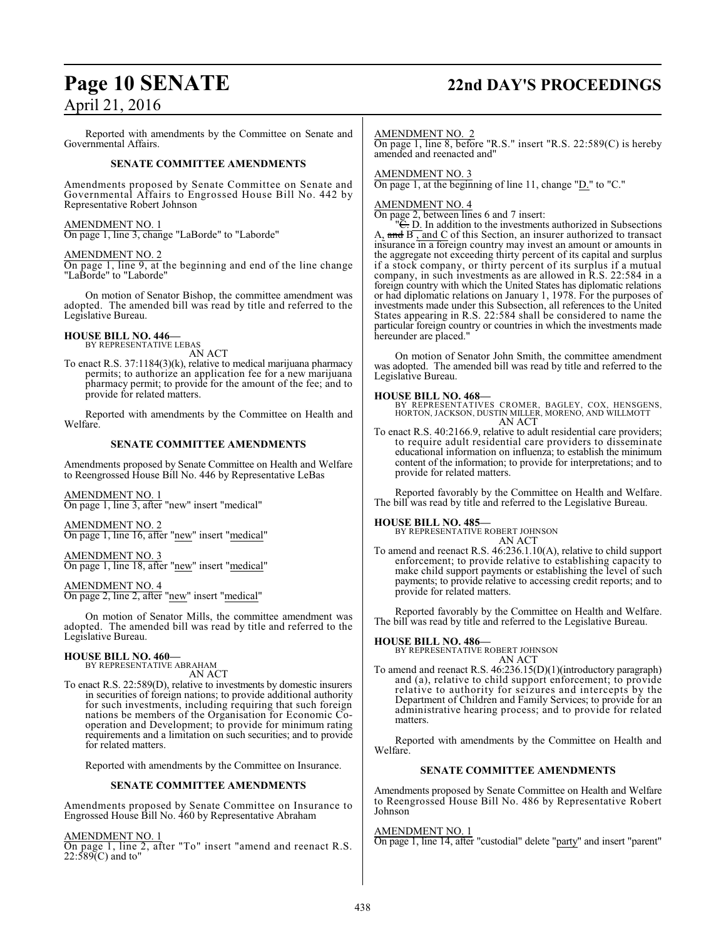## **Page 10 SENATE 22nd DAY'S PROCEEDINGS**

Reported with amendments by the Committee on Senate and Governmental Affairs.

### **SENATE COMMITTEE AMENDMENTS**

Amendments proposed by Senate Committee on Senate and Governmental Affairs to Engrossed House Bill No. 442 by Representative Robert Johnson

### AMENDMENT NO. 1

On page 1, line 3, change "LaBorde" to "Laborde"

### AMENDMENT NO. 2

On page 1, line 9, at the beginning and end of the line change "LaBorde" to "Laborde"

On motion of Senator Bishop, the committee amendment was adopted. The amended bill was read by title and referred to the Legislative Bureau.

### **HOUSE BILL NO. 446—** BY REPRESENTATIVE LEBAS

AN ACT

To enact R.S. 37:1184(3)(k), relative to medical marijuana pharmacy permits; to authorize an application fee for a new marijuana pharmacy permit; to provide for the amount of the fee; and to provide for related matters.

Reported with amendments by the Committee on Health and Welfare.

### **SENATE COMMITTEE AMENDMENTS**

Amendments proposed by Senate Committee on Health and Welfare to Reengrossed House Bill No. 446 by Representative LeBas

AMENDMENT NO. 1 On page 1, line 3, after "new" insert "medical"

AMENDMENT NO. 2 On page 1, line 16, after "new" insert "medical"

AMENDMENT NO. 3 On page 1, line 18, after "new" insert "medical"

AMENDMENT NO. 4 On page 2, line 2, after "new" insert "medical"

On motion of Senator Mills, the committee amendment was adopted. The amended bill was read by title and referred to the Legislative Bureau.

### **HOUSE BILL NO. 460—**

BY REPRESENTATIVE ABRAHAM AN ACT

To enact R.S. 22:589(D), relative to investments by domestic insurers in securities of foreign nations; to provide additional authority for such investments, including requiring that such foreign nations be members of the Organisation for Economic Cooperation and Development; to provide for minimum rating requirements and a limitation on such securities; and to provide for related matters.

Reported with amendments by the Committee on Insurance.

### **SENATE COMMITTEE AMENDMENTS**

Amendments proposed by Senate Committee on Insurance to Engrossed House Bill No. 460 by Representative Abraham

AMENDMENT NO. 1

On page 1, line 2, after "To" insert "amend and reenact R.S. 22:589(C) and to"

### AMENDMENT NO. 2

On page 1, line 8, before "R.S." insert "R.S. 22:589(C) is hereby amended and reenacted and"

### AMENDMENT NO. 3

On page 1, at the beginning of line 11, change "D." to "C."

### AMENDMENT NO. 4

On page 2, between lines 6 and 7 insert:

<sup>"</sup>C. D. In addition to the investments authorized in Subsections A,  $\overline{\text{and } B}$ , and C of this Section, an insurer authorized to transact insurance in a foreign country may invest an amount or amounts in the aggregate not exceeding thirty percent of its capital and surplus if a stock company, or thirty percent of its surplus if a mutual company, in such investments as are allowed in R.S. 22:584 in a foreign country with which the United States has diplomatic relations or had diplomatic relations on January 1, 1978. For the purposes of investments made under this Subsection, all references to the United States appearing in R.S. 22:584 shall be considered to name the particular foreign country or countries in which the investments made hereunder are placed."

On motion of Senator John Smith, the committee amendment was adopted. The amended bill was read by title and referred to the Legislative Bureau.

**HOUSE BILL NO. 468—** BY REPRESENTATIVES CROMER, BAGLEY, COX, HENSGENS, HORTON, JACKSON, DUSTIN MILLER, MORENO, AND WILLMOTT AN ACT

To enact R.S. 40:2166.9, relative to adult residential care providers; to require adult residential care providers to disseminate educational information on influenza; to establish the minimum content of the information; to provide for interpretations; and to provide for related matters.

Reported favorably by the Committee on Health and Welfare. The bill was read by title and referred to the Legislative Bureau.

### **HOUSE BILL NO. 485—**

BY REPRESENTATIVE ROBERT JOHNSON AN ACT

To amend and reenact R.S. 46:236.1.10(A), relative to child support enforcement; to provide relative to establishing capacity to make child support payments or establishing the level of such payments; to provide relative to accessing credit reports; and to provide for related matters.

Reported favorably by the Committee on Health and Welfare. The bill was read by title and referred to the Legislative Bureau.

### **HOUSE BILL NO. 486—**

BY REPRESENTATIVE ROBERT JOHNSON AN ACT

To amend and reenact R.S. 46:236.15(D)(1)(introductory paragraph) and (a), relative to child support enforcement; to provide relative to authority for seizures and intercepts by the Department of Children and Family Services; to provide for an administrative hearing process; and to provide for related matters.

Reported with amendments by the Committee on Health and Welfare.

### **SENATE COMMITTEE AMENDMENTS**

Amendments proposed by Senate Committee on Health and Welfare to Reengrossed House Bill No. 486 by Representative Robert Johnson

### AMENDMENT NO. 1

On page 1, line 14, after "custodial" delete "party" and insert "parent"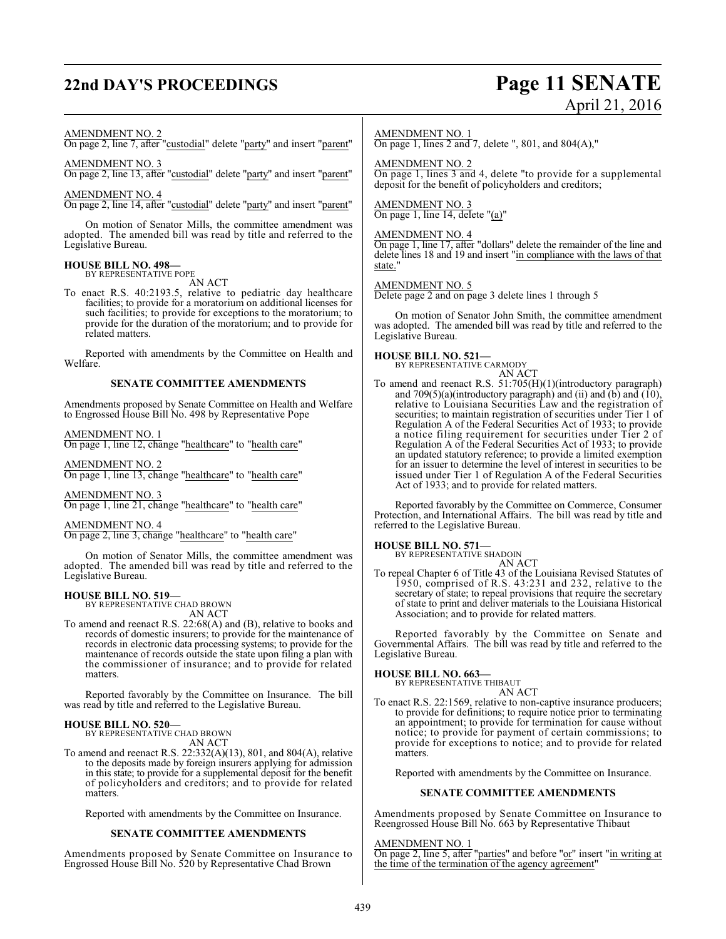## **22nd DAY'S PROCEEDINGS Page 11 SENATE**

# April 21, 2016

### AMENDMENT NO. 2

On page 2, line 7, after "custodial" delete "party" and insert "parent"

### AMENDMENT NO. 3

On page 2, line 13, after "custodial" delete "party" and insert "parent"

### AMENDMENT NO. 4

On page 2, line 14, after "custodial" delete "party" and insert "parent"

On motion of Senator Mills, the committee amendment was adopted. The amended bill was read by title and referred to the Legislative Bureau.

## **HOUSE BILL NO. 498—** BY REPRESENTATIVE POPE

AN ACT

To enact R.S. 40:2193.5, relative to pediatric day healthcare facilities; to provide for a moratorium on additional licenses for such facilities; to provide for exceptions to the moratorium; to provide for the duration of the moratorium; and to provide for related matters.

Reported with amendments by the Committee on Health and Welfare.

### **SENATE COMMITTEE AMENDMENTS**

Amendments proposed by Senate Committee on Health and Welfare to Engrossed House Bill No. 498 by Representative Pope

### AMENDMENT NO. 1

On page 1, line 12, change "healthcare" to "health care"

AMENDMENT NO. 2 On page 1, line 13, change "healthcare" to "health care"

AMENDMENT NO. 3 On page 1, line 21, change "healthcare" to "health care"

AMENDMENT NO. 4 On page 2, line 3, change "healthcare" to "health care"

On motion of Senator Mills, the committee amendment was adopted. The amended bill was read by title and referred to the Legislative Bureau.

# **HOUSE BILL NO. 519—** BY REPRESENTATIVE CHAD BROWN

AN ACT

To amend and reenact R.S. 22:68(A) and (B), relative to books and records of domestic insurers; to provide for the maintenance of records in electronic data processing systems; to provide for the maintenance of records outside the state upon filing a plan with the commissioner of insurance; and to provide for related matters.

Reported favorably by the Committee on Insurance. The bill was read by title and referred to the Legislative Bureau.

# **HOUSE BILL NO. 520—** BY REPRESENTATIVE CHAD BROWN

AN ACT

To amend and reenact R.S. 22:332(A)(13), 801, and 804(A), relative to the deposits made by foreign insurers applying for admission in this state; to provide for a supplemental deposit for the benefit of policyholders and creditors; and to provide for related matters.

Reported with amendments by the Committee on Insurance.

### **SENATE COMMITTEE AMENDMENTS**

Amendments proposed by Senate Committee on Insurance to Engrossed House Bill No. 520 by Representative Chad Brown

### AMENDMENT NO. 1

On page 1, lines 2 and 7, delete ", 801, and 804(A),"

AMENDMENT NO. 2 On page 1, lines 3 and 4, delete "to provide for a supplemental deposit for the benefit of policyholders and creditors;

AMENDMENT NO. 3 On page 1, line 14, delete "(a)"

### AMENDMENT NO. 4

On page 1, line 17, after "dollars" delete the remainder of the line and delete lines 18 and 19 and insert "in compliance with the laws of that state."

### AMENDMENT NO. 5

Delete page 2 and on page 3 delete lines 1 through 5

On motion of Senator John Smith, the committee amendment was adopted. The amended bill was read by title and referred to the Legislative Bureau.

**HOUSE BILL NO. 521—** BY REPRESENTATIVE CARMODY

### AN ACT

To amend and reenact R.S. 51:705(H)(1)(introductory paragraph) and  $709(5)(a)$ (introductory paragraph) and (ii) and (b) and (10), relative to Louisiana Securities Law and the registration of securities; to maintain registration of securities under Tier 1 of Regulation A of the Federal Securities Act of 1933; to provide a notice filing requirement for securities under Tier 2 of Regulation A of the Federal Securities Act of 1933; to provide an updated statutory reference; to provide a limited exemption for an issuer to determine the level of interest in securities to be issued under Tier 1 of Regulation A of the Federal Securities Act of 1933; and to provide for related matters.

Reported favorably by the Committee on Commerce, Consumer Protection, and International Affairs. The bill was read by title and referred to the Legislative Bureau.

### **HOUSE BILL NO. 571—**

BY REPRESENTATIVE SHADOIN AN ACT

To repeal Chapter 6 of Title 43 of the Louisiana Revised Statutes of 1950, comprised of R.S. 43:231 and 232, relative to the secretary of state; to repeal provisions that require the secretary of state to print and deliver materials to the Louisiana Historical Association; and to provide for related matters.

Reported favorably by the Committee on Senate and Governmental Affairs. The bill was read by title and referred to the Legislative Bureau.

### **HOUSE BILL NO. 663—**

BY REPRESENTATIVE THIBAUT AN ACT

To enact R.S. 22:1569, relative to non-captive insurance producers; to provide for definitions; to require notice prior to terminating an appointment; to provide for termination for cause without notice; to provide for payment of certain commissions; to provide for exceptions to notice; and to provide for related matters.

Reported with amendments by the Committee on Insurance.

### **SENATE COMMITTEE AMENDMENTS**

Amendments proposed by Senate Committee on Insurance to Reengrossed House Bill No. 663 by Representative Thibaut

### AMENDMENT NO. 1

On page 2, line 5, after "parties" and before "or" insert "in writing at the time of the termination of the agency agreement"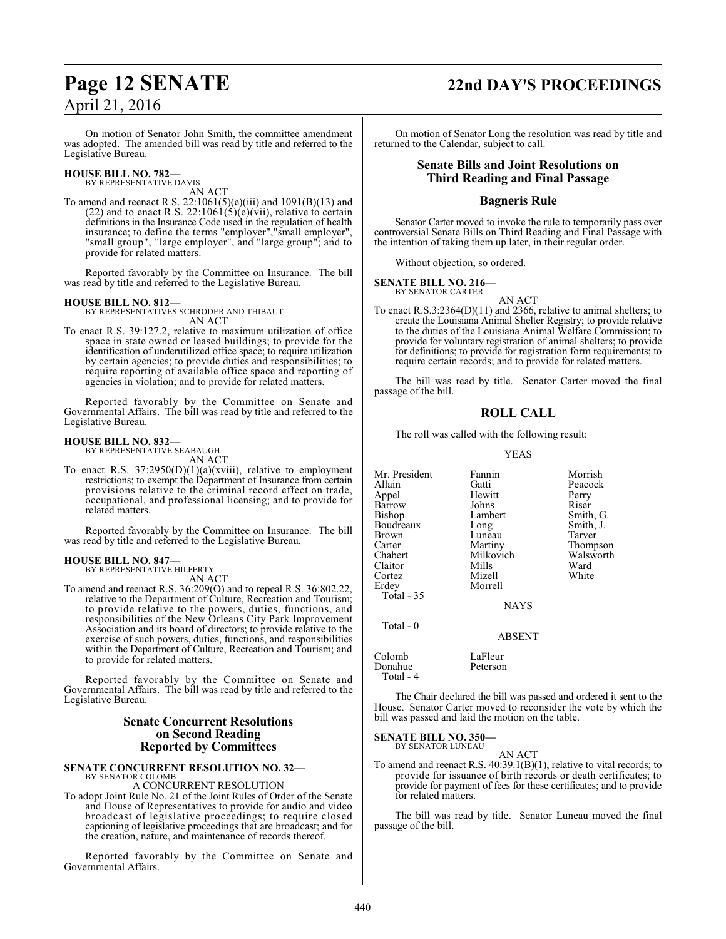## **Page 12 SENATE 22nd DAY'S PROCEEDINGS**

On motion of Senator John Smith, the committee amendment was adopted. The amended bill was read by title and referred to the Legislative Bureau.

## **HOUSE BILL NO. 782—** BY REPRESENTATIVE DAVIS

AN ACT To amend and reenact R.S. 22:1061(5)(e)(iii) and 1091(B)(13) and (22) and to enact R.S. 22:106 $\tilde{1}(5)(\tilde{e})(\tilde{v}i)$ , relative to certain definitions in the Insurance Code used in the regulation of health insurance; to define the terms "employer","small employer", "small group", "large employer", and "large group"; and to provide for related matters.

Reported favorably by the Committee on Insurance. The bill was read by title and referred to the Legislative Bureau.

### **HOUSE BILL NO. 812—**

BY REPRESENTATIVES SCHRODER AND THIBAUT AN ACT

To enact R.S. 39:127.2, relative to maximum utilization of office space in state owned or leased buildings; to provide for the identification of underutilized office space; to require utilization by certain agencies; to provide duties and responsibilities; to require reporting of available office space and reporting of agencies in violation; and to provide for related matters.

Reported favorably by the Committee on Senate and Governmental Affairs. The bill was read by title and referred to the Legislative Bureau.

### **HOUSE BILL NO. 832—** BY REPRESENTATIVE SEABAUGH

AN ACT

To enact R.S.  $37:2950(D)(1)(a)(xviii)$ , relative to employment restrictions; to exempt the Department of Insurance from certain provisions relative to the criminal record effect on trade, occupational, and professional licensing; and to provide for related matters.

Reported favorably by the Committee on Insurance. The bill was read by title and referred to the Legislative Bureau.

#### **HOUSE BILL NO. 847—** BY REPRESENTATIVE HILFERTY

AN ACT

To amend and reenact R.S. 36:209(O) and to repeal R.S. 36:802.22, relative to the Department of Culture, Recreation and Tourism; to provide relative to the powers, duties, functions, and responsibilities of the New Orleans City Park Improvement Association and its board of directors; to provide relative to the exercise of such powers, duties, functions, and responsibilities within the Department of Culture, Recreation and Tourism; and to provide for related matters.

Reported favorably by the Committee on Senate and Governmental Affairs. The bill was read by title and referred to the Legislative Bureau.

### **Senate Concurrent Resolutions on Second Reading Reported by Committees**

### **SENATE CONCURRENT RESOLUTION NO. 32—** BY SENATOR COLOMB

A CONCURRENT RESOLUTION

To adopt Joint Rule No. 21 of the Joint Rules of Order of the Senate and House of Representatives to provide for audio and video broadcast of legislative proceedings; to require closed captioning of legislative proceedings that are broadcast; and for the creation, nature, and maintenance of records thereof.

Reported favorably by the Committee on Senate and Governmental Affairs.

On motion of Senator Long the resolution was read by title and returned to the Calendar, subject to call.

### **Senate Bills and Joint Resolutions on Third Reading and Final Passage**

### **Bagneris Rule**

Senator Carter moved to invoke the rule to temporarily pass over controversial Senate Bills on Third Reading and Final Passage with the intention of taking them up later, in their regular order.

Without objection, so ordered.

## **SENATE BILL NO. 216—** BY SENATOR CARTER

AN ACT To enact R.S.3:2364(D)(11) and 2366, relative to animal shelters; to create the Louisiana Animal Shelter Registry; to provide relative to the duties of the Louisiana Animal Welfare Commission; to provide for voluntary registration of animal shelters; to provide for definitions; to provide for registration form requirements; to require certain records; and to provide for related matters.

The bill was read by title. Senator Carter moved the final passage of the bill.

### **ROLL CALL**

The roll was called with the following result:

### YEAS

Mr. President Fannin Morrish<br>Allain Gatti Peacock Gatti Peacock<br>
Hewitt Perry Appel Hewitt Perry Barrow Johns<br>Bishop Lambert Lambert Smith, G.<br>
Long Smith, J. Boudreaux Long Smith,<br>Brown Luneau Tarver Brown Luneau<br>Carter Martiny Carter Martiny Thompson<br>Chabert Milkovich Walsworth Milkovich Walsworth<br>
Mills Ward Claitor Mills Ward<br>Cortez Mizell White Cortez Mizell<br>Erdey Morrel Morrell Total - 35 NAYS Total - 0 ABSENT Colomb LaFleur<br>Donahue Peterson Donahue

The Chair declared the bill was passed and ordered it sent to the House. Senator Carter moved to reconsider the vote by which the bill was passed and laid the motion on the table.

#### **SENATE BILL NO. 350—** BY SENATOR LUNEAU

Total - 4

AN ACT

To amend and reenact R.S. 40:39.1(B)(1), relative to vital records; to provide for issuance of birth records or death certificates; to provide for payment of fees for these certificates; and to provide for related matters.

The bill was read by title. Senator Luneau moved the final passage of the bill.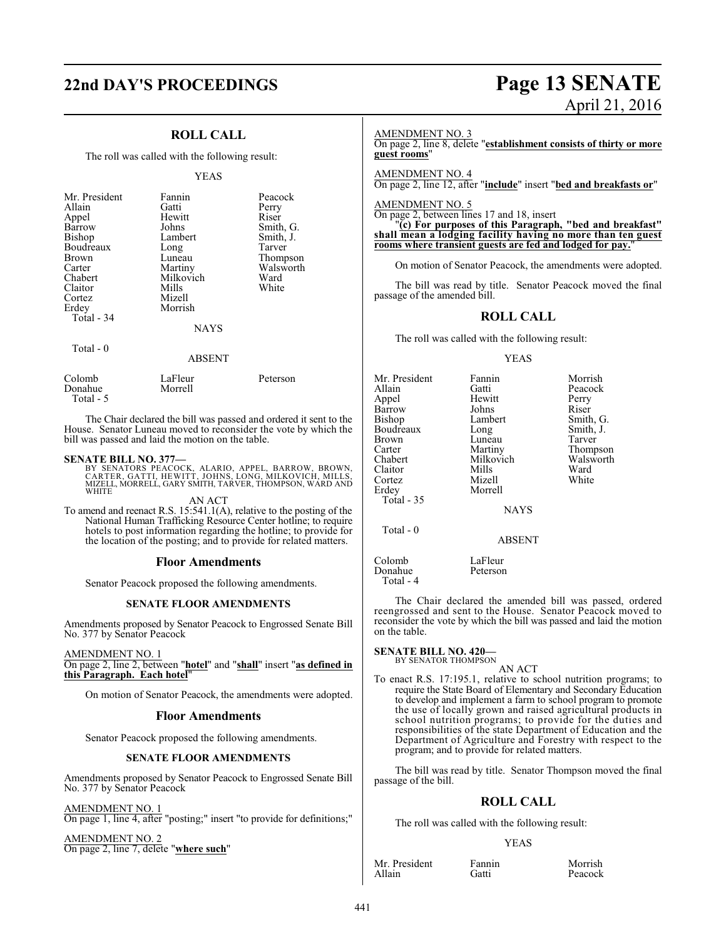# **22nd DAY'S PROCEEDINGS Page 13 SENATE**

### **ROLL CALL**

The roll was called with the following result:

### YEAS

| Mr. President<br>Allain<br>Appel<br>Barrow<br>Bishop<br>Boudreaux<br>Brown<br>Carter<br>Chabert<br>Claitor<br>Cortez<br>Erdey<br>Total - 34 | Fannin<br>Gatti<br>Hewitt<br>Johns<br>Lambert<br>Long<br>Luneau<br>Martiny<br>Milkovich<br>Mills<br>Mizell<br>Morrish | Peacock<br>Perry<br>Riser<br>Smith, G.<br>Smith, J.<br>Tarver<br>Thompson<br>Walsworth<br>Ward<br>White |
|---------------------------------------------------------------------------------------------------------------------------------------------|-----------------------------------------------------------------------------------------------------------------------|---------------------------------------------------------------------------------------------------------|
|                                                                                                                                             | <b>NAYS</b>                                                                                                           |                                                                                                         |
| Total - 0                                                                                                                                   | <b>ABSENT</b>                                                                                                         |                                                                                                         |

| Colomb                | LaFleur | Peterson |
|-----------------------|---------|----------|
| Donahue<br>Total $-5$ | Morrell |          |

The Chair declared the bill was passed and ordered it sent to the House. Senator Luneau moved to reconsider the vote by which the bill was passed and laid the motion on the table.

### **SENATE BILL NO. 377—**

BY SENATORS PEACOCK, ALARIO, APPEL, BARROW, BROWN,<br>CARTER, GATTI, HEWITT, JOHNS, LONG, MILKOVICH, MILLS,<br>MIZELL, MORRELL, GARY SMITH, TARVER, THOMPSON, WARD AND WHITE

AN ACT

To amend and reenact R.S. 15:541.1(A), relative to the posting of the National Human Trafficking Resource Center hotline; to require hotels to post information regarding the hotline; to provide for the location of the posting; and to provide for related matters.

### **Floor Amendments**

Senator Peacock proposed the following amendments.

### **SENATE FLOOR AMENDMENTS**

Amendments proposed by Senator Peacock to Engrossed Senate Bill No. 377 by Senator Peacock

### AMENDMENT NO. 1

On page 2, line 2, between "**hotel**" and "**shall**" insert "**as defined in this Paragraph. Each hotel**"

On motion of Senator Peacock, the amendments were adopted.

### **Floor Amendments**

Senator Peacock proposed the following amendments.

### **SENATE FLOOR AMENDMENTS**

Amendments proposed by Senator Peacock to Engrossed Senate Bill No. 377 by Senator Peacock

AMENDMENT NO. 1 On page 1, line 4, after "posting;" insert "to provide for definitions;"

AMENDMENT NO. 2 On page 2, line 7, delete "**where such**"

# April 21, 2016

### AMENDMENT NO. 3

On page 2, line 8, delete "**establishment consists of thirty or more guest rooms**"

### AMENDMENT NO. 4

On page 2, line 12, after "**include**" insert "**bed and breakfasts or**"

### AMENDMENT NO. 5

On page 2, between lines 17 and 18, insert

"**(c) For purposes of this Paragraph, "bed and breakfast" shall mean a lodging facility having no more than ten guest rooms where transient guests are fed and lodged for pay.**"

On motion of Senator Peacock, the amendments were adopted.

The bill was read by title. Senator Peacock moved the final passage of the amended bill.

### **ROLL CALL**

The roll was called with the following result:

### YEAS

| Mr. President     | Fannin      | Morrish   |
|-------------------|-------------|-----------|
| Allain            | Gatti       | Peacock   |
| Appel             | Hewitt      | Perry     |
| Barrow            | Johns       | Riser     |
| Bishop            | Lambert     | Smith, G. |
| Boudreaux         | Long        | Smith, J. |
| <b>Brown</b>      | Luneau      | Tarver    |
| Carter            | Martiny     | Thompson  |
| Chabert           | Milkovich   | Walsworth |
| Claitor           | Mills       | Ward      |
| Cortez            | Mizell      | White     |
| Erdey             | Morrell     |           |
| <b>Total - 35</b> |             |           |
|                   | <b>NAYS</b> |           |
| Total - 0         |             |           |
|                   | ABSENT      |           |

Colomb LaFleur<br>Donahue Peterson Donahue Total - 4

The Chair declared the amended bill was passed, ordered reengrossed and sent to the House. Senator Peacock moved to reconsider the vote by which the bill was passed and laid the motion on the table.

### **SENATE BILL NO. 420—**<br>BY SENATOR THOMPSON

AN ACT

To enact R.S. 17:195.1, relative to school nutrition programs; to require the State Board of Elementary and Secondary Education to develop and implement a farm to school program to promote the use of locally grown and raised agricultural products in school nutrition programs; to provide for the duties and responsibilities of the state Department of Education and the Department of Agriculture and Forestry with respect to the program; and to provide for related matters.

The bill was read by title. Senator Thompson moved the final passage of the bill.

### **ROLL CALL**

The roll was called with the following result:

### YEAS

Mr. President Fannin Morrish<br>Allain Gatti Peacock

Peacock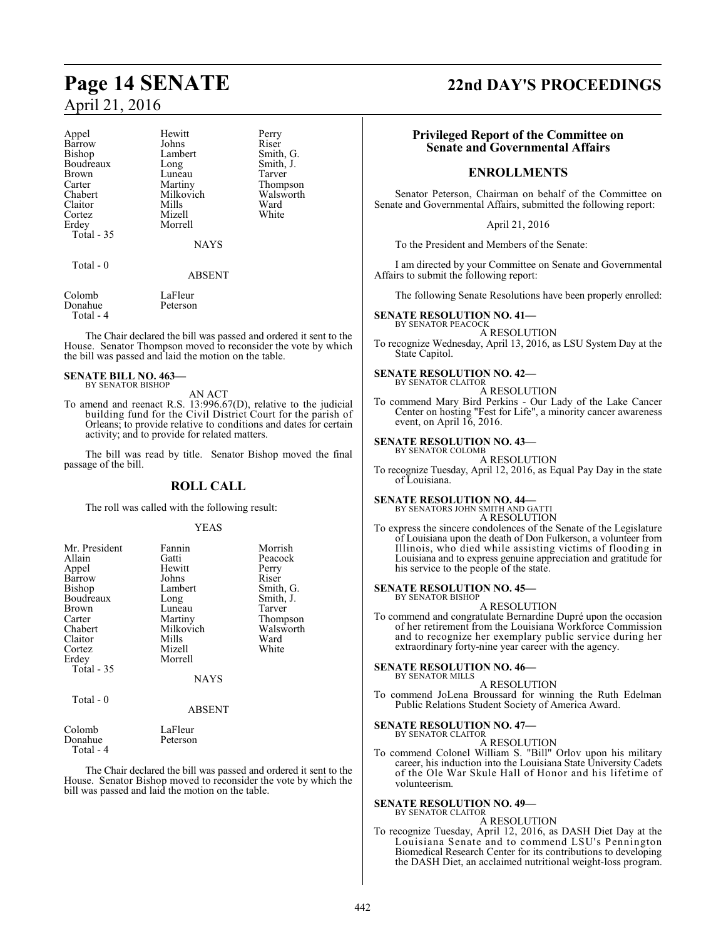| Appel      | Hewitt      | Perry     |
|------------|-------------|-----------|
| Barrow     | Johns       | Riser     |
| Bishop     | Lambert     | Smith, G. |
| Boudreaux  | Long        | Smith, J. |
| Brown      | Luneau      | Tarver    |
| Carter     | Martiny     | Thompson  |
| Chabert    | Milkovich   | Walsworth |
| Claitor    | Mills       | Ward      |
| Cortez     | Mizell      | White     |
| Erdev      | Morrell     |           |
| Total - 35 |             |           |
|            | <b>NAYS</b> |           |
| Total - 0  |             |           |
|            | ABSENT      |           |

Colomb LaFleur<br>Donahue Peterson Donahue Total - 4

The Chair declared the bill was passed and ordered it sent to the House. Senator Thompson moved to reconsider the vote by which the bill was passed and laid the motion on the table.

### **SENATE BILL NO. 463—** BY SENATOR BISHOP

### AN ACT

To amend and reenact R.S. 13:996.67(D), relative to the judicial building fund for the Civil District Court for the parish of Orleans; to provide relative to conditions and dates for certain activity; and to provide for related matters.

The bill was read by title. Senator Bishop moved the final passage of the bill.

### **ROLL CALL**

The roll was called with the following result:

### YEAS

| Mr. President<br>Allain<br>Appel<br>Barrow<br>Bishop<br>Boudreaux<br>Brown<br>Carter<br>Chabert<br>Claitor | Fannin<br>Gatti<br>Hewitt<br>Johns<br>Lambert<br>Long<br>Luneau<br>Martiny<br>Milkovich<br>Mills | Morrish<br>Peacock<br>Perry<br>Riser<br>Smith, G.<br>Smith, J.<br>Tarver<br>Thompson<br>Walsworth<br>Ward |
|------------------------------------------------------------------------------------------------------------|--------------------------------------------------------------------------------------------------|-----------------------------------------------------------------------------------------------------------|
| Cortez<br>Erdey                                                                                            | Mizell<br>Morrell                                                                                | White                                                                                                     |
| Total - 35                                                                                                 | <b>NAYS</b>                                                                                      |                                                                                                           |
| $Total = 0$                                                                                                |                                                                                                  |                                                                                                           |

Total - 0

### ABSENT

| Colomb    | LaFleur  |
|-----------|----------|
| Donahue   | Peterson |
| Total - 4 |          |

The Chair declared the bill was passed and ordered it sent to the House. Senator Bishop moved to reconsider the vote by which the bill was passed and laid the motion on the table.

### **Page 14 SENATE 22nd DAY'S PROCEEDINGS**

### **Privileged Report of the Committee on Senate and Governmental Affairs**

### **ENROLLMENTS**

Senator Peterson, Chairman on behalf of the Committee on Senate and Governmental Affairs, submitted the following report:

April 21, 2016

To the President and Members of the Senate:

I am directed by your Committee on Senate and Governmental Affairs to submit the following report:

The following Senate Resolutions have been properly enrolled:

### **SENATE RESOLUTION NO. 41—**

BY SENATOR PEACOCK A RESOLUTION

To recognize Wednesday, April 13, 2016, as LSU System Day at the State Capitol.

#### **SENATE RESOLUTION NO. 42—** BY SENATOR CLAITOR

### A RESOLUTION

To commend Mary Bird Perkins - Our Lady of the Lake Cancer Center on hosting "Fest for Life", a minority cancer awareness event, on April 16, 2016.

### **SENATE RESOLUTION NO. 43—** BY SENATOR COLOMB

A RESOLUTION

To recognize Tuesday, April 12, 2016, as Equal Pay Day in the state of Louisiana.

### **SENATE RESOLUTION NO. 44—**

BY SENATORS JOHN SMITH AND GATTI A RESOLUTION

To express the sincere condolences of the Senate of the Legislature of Louisiana upon the death of Don Fulkerson, a volunteer from Illinois, who died while assisting victims of flooding in Louisiana and to express genuine appreciation and gratitude for his service to the people of the state.

### **SENATE RESOLUTION NO. 45—**

BY SENATOR BISHOP A RESOLUTION

To commend and congratulate Bernardine Dupré upon the occasion of her retirement from the Louisiana Workforce Commission and to recognize her exemplary public service during her extraordinary forty-nine year career with the agency.

### **SENATE RESOLUTION NO. 46—**

BY SENATOR MILLS A RESOLUTION

To commend JoLena Broussard for winning the Ruth Edelman Public Relations Student Society of America Award.

### **SENATE RESOLUTION NO. 47—** BY SENATOR CLAITOR

A RESOLUTION

To commend Colonel William S. "Bill" Orlov upon his military career, his induction into the Louisiana State University Cadets of the Ole War Skule Hall of Honor and his lifetime of volunteerism.

#### **SENATE RESOLUTION NO. 49—** BY SENATOR CLAITOR

A RESOLUTION

To recognize Tuesday, April 12, 2016, as DASH Diet Day at the Louisiana Senate and to commend LSU's Pennington Biomedical Research Center for its contributions to developing the DASH Diet, an acclaimed nutritional weight-loss program.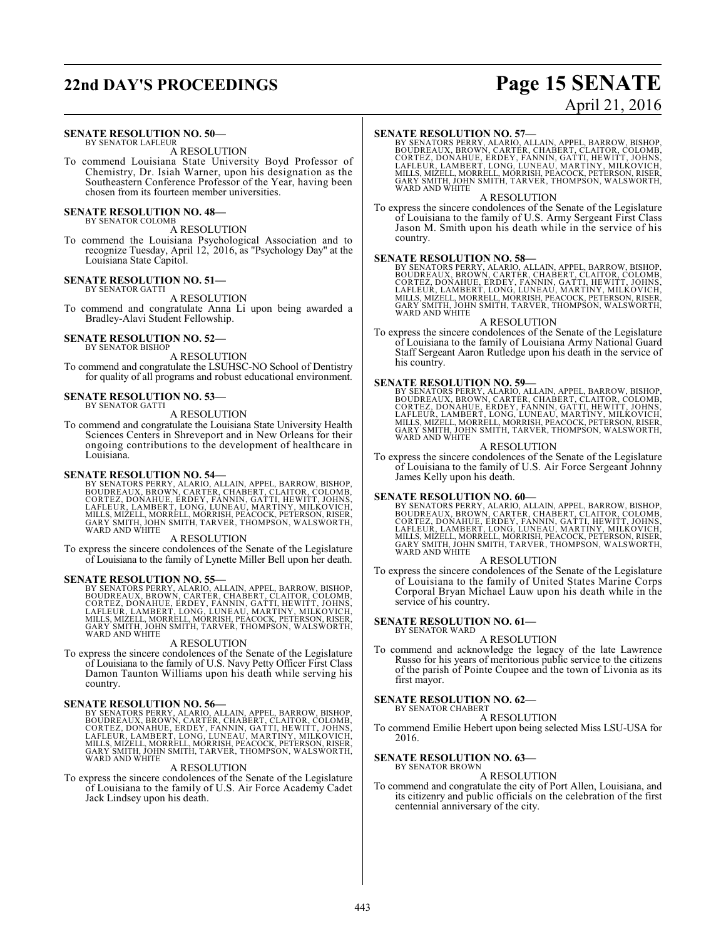## **22nd DAY'S PROCEEDINGS Page 15 SENATE**

### **SENATE RESOLUTION NO. 50—**

BY SENATOR LAFLEUR A RESOLUTION

To commend Louisiana State University Boyd Professor of Chemistry, Dr. Isiah Warner, upon his designation as the Southeastern Conference Professor of the Year, having been chosen from its fourteen member universities.

#### **SENATE RESOLUTION NO. 48—** BY SENATOR COLOMB

A RESOLUTION

To commend the Louisiana Psychological Association and to recognize Tuesday, April 12, 2016, as "Psychology Day" at the Louisiana State Capitol.

#### **SENATE RESOLUTION NO. 51—** BY SENATOR GATTI

A RESOLUTION

To commend and congratulate Anna Li upon being awarded a Bradley-Alavi Student Fellowship.

## **SENATE RESOLUTION NO. 52—**<br>BY SENATOR BISHOP

A RESOLUTION

To commend and congratulate the LSUHSC-NO School of Dentistry for quality of all programs and robust educational environment.

### **SENATE RESOLUTION NO. 53—** BY SENATOR GATTI

A RESOLUTION

To commend and congratulate the Louisiana State University Health Sciences Centers in Shreveport and in New Orleans for their ongoing contributions to the development of healthcare in Louisiana.

### **SENATE RESOLUTION NO. 54—**

BY SENATORS PERRY, ALARIO, ALLAIN, APPEL, BARROW, BISHOP,<br>BOUDREAUX, BROWN, CARTER, CHABERT, CLAITOR, COLOMB,<br>CORTEZ, DONAHUE, ERDEY, FANNIN, GATTI, HEWITT, JOHNS,<br>LAFLEUR, LAMBERT, LONG, LUNEAU, MARTINY, MILKOVICH,<br>MILLS,

### A RESOLUTION

To express the sincere condolences of the Senate of the Legislature of Louisiana to the family of Lynette Miller Bell upon her death.

SENATE RESOLUTION NO. 55—<br>BY SENATORS PERRY, ALARIO, ALLAIN, APPEL, BARROW, BISHOP, BOUDREAUX, BROWN, CARTER, CHABERT, CLAITOR, COLOMB,<br>CORTEZ, DONAHUE, ERDEY, FANNIN, GATTI, HEWITT, JOHNS,<br>LAFLEUR, LAMBERT, LONG, LUNEAU, WARD AND WHITE

### A RESOLUTION

To express the sincere condolences of the Senate of the Legislature of Louisiana to the family of U.S. Navy Petty Officer First Class Damon Taunton Williams upon his death while serving his country.

### **SENATE RESOLUTION NO. 56—**

BY SENATORS PERRY, ALARIO, ALLAIN, APPEL, BARROW, BISHOP,<br>BOUDREAUX, BROWN, CARTER, CHABERT, CLAITOR, COLOMB,<br>CORTEZ, DONAHUE, ERDEY, FANNIN, GATTI, HEWITT, JOHNS,<br>LAFLEUR, LAMBERT, LONG, LUNEAU, MARTINY, MILKOVICH,<br>MILLS,

### A RESOLUTION

To express the sincere condolences of the Senate of the Legislature of Louisiana to the family of U.S. Air Force Academy Cadet Jack Lindsey upon his death.

### **SENATE RESOLUTION NO. 57—**

BY SENATORS PERRY, ALARIO, ALLAIN, APPEL, BARROW, BISHOP,<br>BOUDREAUX, BROWN, CARTER, CHABERT, CLAITOR, COLOMB,<br>CORTEZ, DONAHUE, ERDEY, FANNIN, GATTI, HEWITT, JOHNS,<br>LAFLEUR, LAMBERT, LONG, LUNEAU, MARTINY, MILKOVICH,<br>MILLS,

### A RESOLUTION

To express the sincere condolences of the Senate of the Legislature of Louisiana to the family of U.S. Army Sergeant First Class Jason M. Smith upon his death while in the service of his country.

### **SENATE RESOLUTION NO. 58—**

BY SENATORS PERRY, ALARIO, ALLAIN, APPEL, BARROW, BISHOP,<br>BOUDREAUX, BROWN, CARTER, CHABERT, CLAITOR, COLOMB,<br>CORTEZ, DONAHUE, ERDEY, FANNIN, GATTI, HEWITT, JOHNS,<br>LAFLEUR, LAMBERT, LONG, LUNEAU, MARTINY, MILKOVICH,<br>MILLS, GARY SMITH, JOHN SMITH, TARVER, THOMPSON, WALSWORTH, WARD AND WHITE

### A RESOLUTION

To express the sincere condolences of the Senate of the Legislature of Louisiana to the family of Louisiana Army National Guard Staff Sergeant Aaron Rutledge upon his death in the service of his country.

**SENATE RESOLUTION NO. 59—**<br>BY SENATORS PERRY, ALARIO, ALLAIN, APPEL, BARROW, BISHOP,<br>BOUDREAUX, BROWN, CARTÉR, CHABERT, CLAITOR, COLOMB,<br>CORTEZ, DONAHUE, ERDEY, FANNIN, GATTI, HEWITT, JOHNS,<br>LAFLEUR, LAMBERT, LONG, LUNEAU

### A RESOLUTION

To express the sincere condolences of the Senate of the Legislature of Louisiana to the family of U.S. Air Force Sergeant Johnny James Kelly upon his death.

### **SENATE RESOLUTION NO. 60—**

BY SENATORS PERRY, ALARIO, ALLAIN, APPEL, BARROW, BISHOP,<br>BOUDREAUX, BROWN, CARTER, CHABERT, CLAITOR, COLOMB,<br>CORTEZ, DONAHUE, ERDEY, FANNIN, GATTI, HEWITT, JOHNS,<br>LAFLEUR, LAMBERT, LONG, LUNEAU, MARTINY, MILKOVICH,<br>MILLS,

### A RESOLUTION

To express the sincere condolences of the Senate of the Legislature of Louisiana to the family of United States Marine Corps Corporal Bryan Michael Lauw upon his death while in the service of his country.

#### **SENATE RESOLUTION NO. 61—** BY SENATOR WARD

A RESOLUTION

To commend and acknowledge the legacy of the late Lawrence Russo for his years of meritorious public service to the citizens of the parish of Pointe Coupee and the town of Livonia as its first mayor.

#### **SENATE RESOLUTION NO. 62—** BY SENATOR CHABERT

A RESOLUTION

To commend Emilie Hebert upon being selected Miss LSU-USA for 2016.

### **SENATE RESOLUTION NO. 63—** BY SENATOR BROWN

A RESOLUTION

To commend and congratulate the city of Port Allen, Louisiana, and its citizenry and public officials on the celebration of the first centennial anniversary of the city.

# April 21, 2016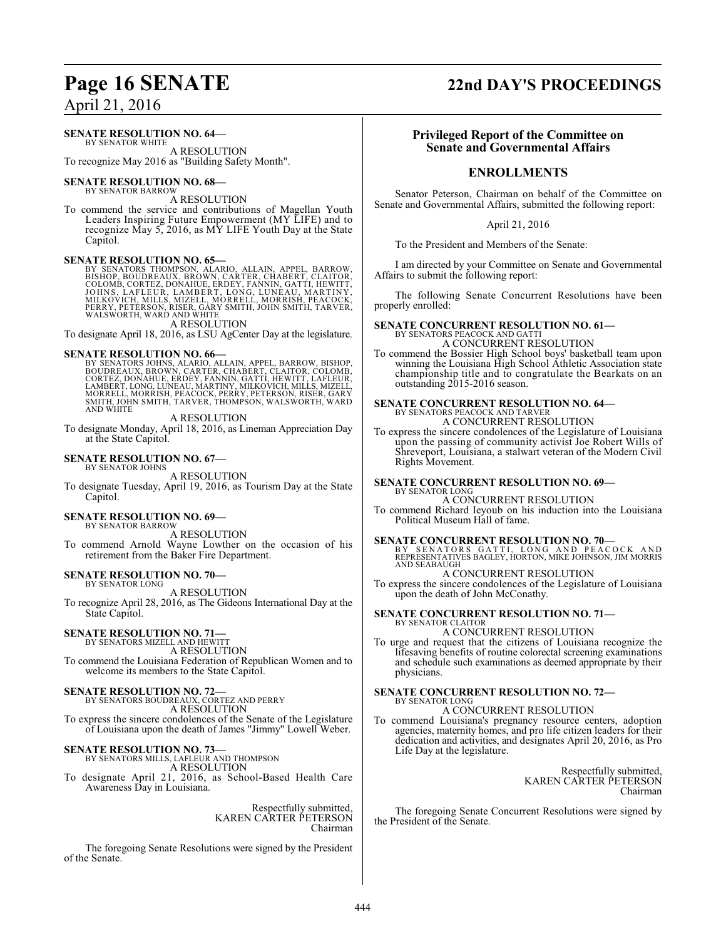### **SENATE RESOLUTION NO. 64—**

BY SENATOR WHITE A RESOLUTION

To recognize May 2016 as "Building Safety Month".

### **SENATE RESOLUTION NO. 68—**

BY SENATOR BARROW A RESOLUTION

To commend the service and contributions of Magellan Youth Leaders Inspiring Future Empowerment (MY LIFE) and to recognize May 5, 2016, as MY LIFE Youth Day at the State Capitol.

**SENATE RESOLUTION NO. 65—**<br>BY SENATORS THOMPSON, ALAORO, ALLAIN, APPEL, BARROW, BISHOP, BOUDREAUX, BROWN, CARTER, CHABERT, CLAITOR,<br>COLOMB, CORTEZ, DONAHUE, ERDEY, FANNIN, GATTI, HEWITT,<br>JOHNS, LAFLEUR, LAMBERT, LONG, LUN A RESOLUTION

To designate April 18, 2016, as LSU AgCenter Day at the legislature.

SENATE RESOLUTION NO. 66—<br>
BY SENATORS JOHNS, ALARIO, ALLAIN, APPEL, BARROW, BISHOP, BOUDREAUX, BROWN, CARTER, CHABERT, CLAITOR, COLOMB,<br>
CORTEZ, DONAHUE, ERDEY, FANNIN, GATTI, HEWITT, LAFLEUR,<br>
LAMBERT, LONG, LUNEAU, MART AND WHITE

### A RESOLUTION

To designate Monday, April 18, 2016, as Lineman Appreciation Day at the State Capitol.

### **SENATE RESOLUTION NO. 67—**

BY SENATOR JOHNS

A RESOLUTION To designate Tuesday, April 19, 2016, as Tourism Day at the State Capitol.

### **SENATE RESOLUTION NO. 69—** BY SENATOR BARROW

A RESOLUTION

To commend Arnold Wayne Lowther on the occasion of his retirement from the Baker Fire Department.

### **SENATE RESOLUTION NO. 70—** BY SENATOR LONG

A RESOLUTION

To recognize April 28, 2016, as The Gideons International Day at the State Capitol.

### **SENATE RESOLUTION NO. 71—** BY SENATORS MIZELL AND HEWITT

A RESOLUTION To commend the Louisiana Federation of Republican Women and to

# welcome its members to the State Capitol.

**SENATE RESOLUTION NO. 72—** BY SENATORS BOUDREAUX, CORTEZ AND PERRY A RESOLUTION To express the sincere condolences of the Senate of the Legislature

of Louisiana upon the death of James "Jimmy" Lowell Weber.

## **SENATE RESOLUTION NO. 73—** BY SENATORS MILLS, LAFLEUR AND THOMPSON

A RESOLUTION To designate April 21, 2016, as School-Based Health Care Awareness Day in Louisiana.

> Respectfully submitted, KAREN CARTER PETERSON Chairman

The foregoing Senate Resolutions were signed by the President of the Senate.

### **Page 16 SENATE 22nd DAY'S PROCEEDINGS**

### **Privileged Report of the Committee on Senate and Governmental Affairs**

### **ENROLLMENTS**

Senator Peterson, Chairman on behalf of the Committee on Senate and Governmental Affairs, submitted the following report:

### April 21, 2016

To the President and Members of the Senate:

I am directed by your Committee on Senate and Governmental Affairs to submit the following report:

The following Senate Concurrent Resolutions have been properly enrolled:

### **SENATE CONCURRENT RESOLUTION NO. 61—**

BY SENATORS PEACOCK AND GATTI A CONCURRENT RESOLUTION

To commend the Bossier High School boys' basketball team upon winning the Louisiana High School Athletic Association state championship title and to congratulate the Bearkats on an outstanding 2015-2016 season.

# **SENATE CONCURRENT RESOLUTION NO. 64—** BY SENATORS PEACOCK AND TARVER

A CONCURRENT RESOLUTION

To express the sincere condolences of the Legislature of Louisiana upon the passing of community activist Joe Robert Wills of Shreveport, Louisiana, a stalwart veteran of the Modern Civil Rights Movement.

### **SENATE CONCURRENT RESOLUTION NO. 69—** BY SENATOR LONG

A CONCURRENT RESOLUTION To commend Richard Ieyoub on his induction into the Louisiana Political Museum Hall of fame.

**SENATE CONCURRENT RESOLUTION NO. 70—**<br>BY SENATORS GATTI, LONG AND PEACOCK AND<br>REPRESENTATIVES BAGLEY, HORTON, MIKE JOHNSON, JIM MORRIS AND SEABAUGH

### A CONCURRENT RESOLUTION

To express the sincere condolences of the Legislature of Louisiana upon the death of John McConathy.

### **SENATE CONCURRENT RESOLUTION NO. 71—** BY SENATOR CLAITOR

A CONCURRENT RESOLUTION

To urge and request that the citizens of Louisiana recognize the lifesaving benefits of routine colorectal screening examinations and schedule such examinations as deemed appropriate by their physicians.

### **SENATE CONCURRENT RESOLUTION NO. 72—** BY SENATOR LONG

A CONCURRENT RESOLUTION

To commend Louisiana's pregnancy resource centers, adoption agencies, maternity homes, and pro life citizen leaders for their dedication and activities, and designates April 20, 2016, as Pro Life Day at the legislature.

> Respectfully submitted, KAREN CARTER PETERSON Chairman

The foregoing Senate Concurrent Resolutions were signed by the President of the Senate.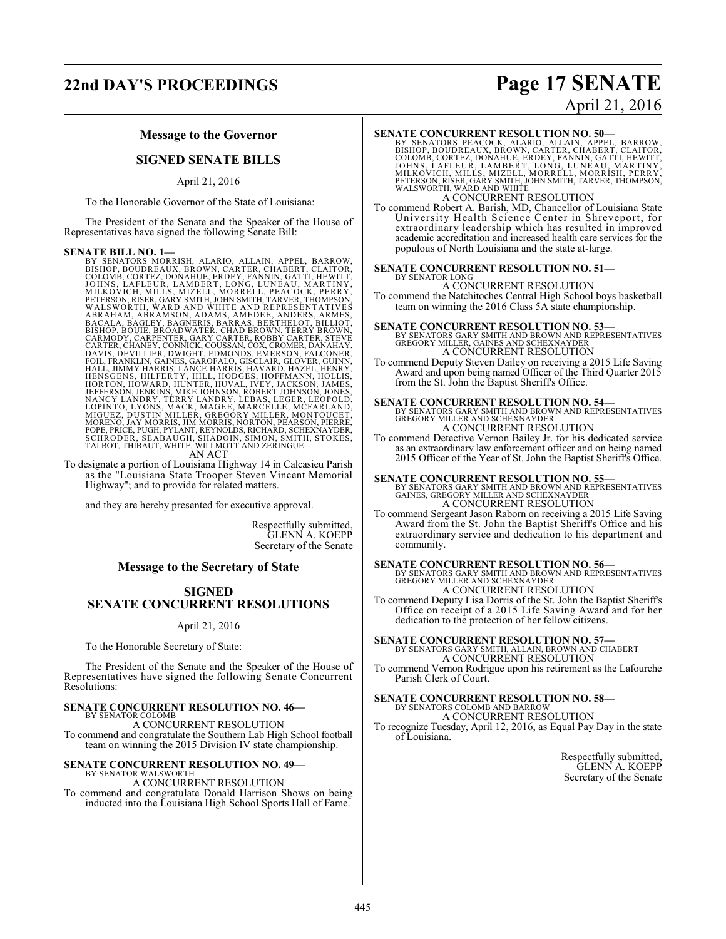### **22nd DAY'S PROCEEDINGS Page 17 SENATE**

### **Message to the Governor**

### **SIGNED SENATE BILLS**

### April 21, 2016

To the Honorable Governor of the State of Louisiana:

The President of the Senate and the Speaker of the House of Representatives have signed the following Senate Bill:

**SENATE BILL NO. 1—**<br>BY SENATORS MORRISH, ALARIO, ALLAIN, APPEL, BARROW,<br>BISHOP, BOUDREAUX, BROWN, CARTER, CHABERT, CLAITOR,<br>COLOMB, CORTEZ, DONAHUE, ERDEY, FANNIN, GATTI, HEWITT,<br>JOHNS, LAFLEUR, LAMBERT, LONG, LUNEAU, MAR HENSGENS, HILFERTY, HILL, HODGES, HOFFMANN, HOLLIS,<br>HORTON, HOWARD, HUNTER, HUVAL, IVEY, JACKSON, JAMES,<br>JEFFERSON, JENKINS, MIKE JOHNSON, ROBERT JOHNSON, JAMES,<br>NANCY LANDRY, TERRY LANDRY, LEBAS, LEGER, LEOPOLD,<br>LOPINTO,

To designate a portion of Louisiana Highway 14 in Calcasieu Parish as the "Louisiana State Trooper Steven Vincent Memorial Highway"; and to provide for related matters.

and they are hereby presented for executive approval.

Respectfully submitted, GLENN A. KOEPP Secretary of the Senate

### **Message to the Secretary of State**

### **SIGNED SENATE CONCURRENT RESOLUTIONS**

April 21, 2016

To the Honorable Secretary of State:

The President of the Senate and the Speaker of the House of Representatives have signed the following Senate Concurrent Resolutions:

### **SENATE CONCURRENT RESOLUTION NO. 46—**

BY SENATOR COLOMB A CONCURRENT RESOLUTION

To commend and congratulate the Southern Lab High School football team on winning the 2015 Division IV state championship.

# **SENATE CONCURRENT RESOLUTION NO. 49—** BY SENATOR WALSWORTH

### A CONCURRENT RESOLUTION

To commend and congratulate Donald Harrison Shows on being inducted into the Louisiana High School Sports Hall of Fame.

# April 21, 2016

### **SENATE CONCURRENT RESOLUTION NO. 50—**

BY SENATORS PEACOCK, ALARIO, ALLAIN, APPEL, BARROW,<br>BISHOP, BOUDREAUX, BROWN, CARTER, CHABERT, CLAITOR,<br>COLOMB, CORTEZ, DONAHUE, ERDEY, FANNIN, GATTI, HEWITT,<br>JOHNS, LAFLEUR, LAMBERT, LONG, LUNEAU, MARTINY,<br>MILKOVICH, MILL A CONCURRENT RESOLUTION

To commend Robert A. Barish, MD, Chancellor of Louisiana State University Health Science Center in Shreveport, for extraordinary leadership which has resulted in improved academic accreditation and increased health care services for the populous of North Louisiana and the state at-large.

#### **SENATE CONCURRENT RESOLUTION NO. 51—** BY SENATOR LONG

A CONCURRENT RESOLUTION To commend the Natchitoches Central High School boys basketball team on winning the 2016 Class 5A state championship.

**SENATE CONCURRENT RESOLUTION NO. 53**—<br>BY SENATORS GARY SMITH AND BROWN AND REPRESENTATIVES<br>GREGORY MILLER, GAINES AND SCHEXNAYDER<br>A CONCURRENT RESOLUTION

To commend Deputy Steven Dailey on receiving a 2015 Life Saving Award and upon being named Officer of the Third Quarter 2015 from the St. John the Baptist Sheriff's Office.

### **SENATE CONCURRENT RESOLUTION NO. 54—**

BY SENATORS GARY SMITH AND BROWN AND REPRESENTATIVES GREGORY MILLER AND SCHEXNAYDER A CONCURRENT RESOLUTION

To commend Detective Vernon Bailey Jr. for his dedicated service as an extraordinary law enforcement officer and on being named 2015 Officer of the Year of St. John the Baptist Sheriff's Office.

**SENATE CONCURRENT RESOLUTION NO. 55—**<br>BY SENATORS GARY SMITH AND BROWN AND REPRESENTATIVES<br>GAINES, GREGORY MILLER AND SCHEXNAYDER A CONCURRENT RESOLUTION

To commend Sergeant Jason Raborn on receiving a 2015 Life Saving Award from the St. John the Baptist Sheriff's Office and his extraordinary service and dedication to his department and community.

**SENATE CONCURRENT RESOLUTION NO. 56—**<br>BY SENATORS GARY SMITH AND BROWN AND REPRESENTATIVES<br>GREGORY MILLER AND SCHEXNAYDER A CONCURRENT RESOLUTION

To commend Deputy Lisa Dorris of the St. John the Baptist Sheriff's Office on receipt of a 2015 Life Saving Award and for her dedication to the protection of her fellow citizens.

### **SENATE CONCURRENT RESOLUTION NO. 57—** BY SENATORS GARY SMITH, ALLAIN, BROWN AND CHABERT A CONCURRENT RESOLUTION

To commend Vernon Rodrigue upon his retirement as the Lafourche Parish Clerk of Court.

# **SENATE CONCURRENT RESOLUTION NO. 58—**<br>BY SENATORS COLOMB AND BARROW<br>A CONCURRENT RESOLUTION

To recognize Tuesday, April 12, 2016, as Equal Pay Day in the state of Louisiana.

> Respectfully submitted, GLENN A. KOEPP Secretary of the Senate